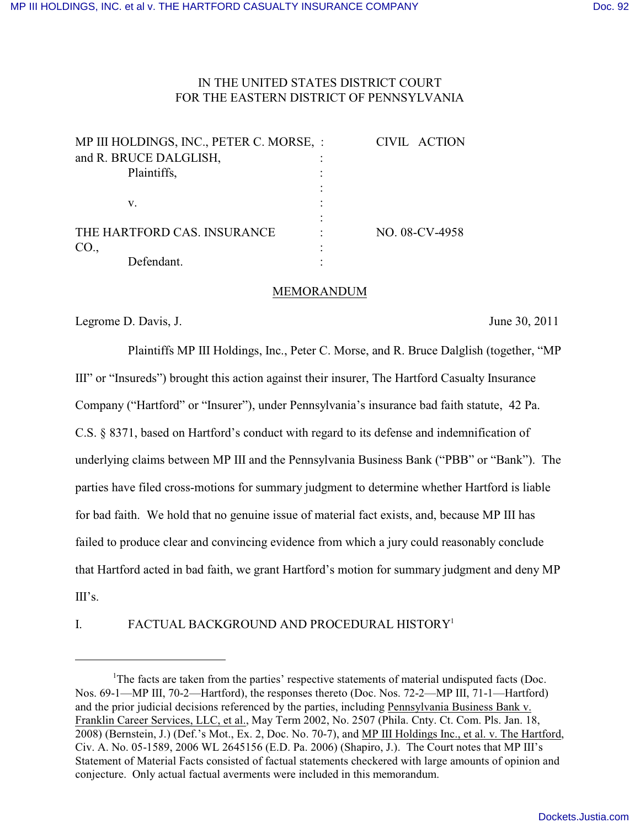# IN THE UNITED STATES DISTRICT COURT FOR THE EASTERN DISTRICT OF PENNSYLVANIA

| MP III HOLDINGS, INC., PETER C. MORSE, : | CIVIL ACTION   |
|------------------------------------------|----------------|
| and R. BRUCE DALGLISH,                   |                |
| Plaintiffs,                              |                |
|                                          |                |
| v.                                       |                |
|                                          |                |
| THE HARTFORD CAS. INSURANCE              | NO. 08-CV-4958 |
| CO.,                                     |                |
| Defendant.                               |                |

#### MEMORANDUM

Legrome D. Davis, J. June 30, 2011

Plaintiffs MP III Holdings, Inc., Peter C. Morse, and R. Bruce Dalglish (together, "MP III" or "Insureds") brought this action against their insurer, The Hartford Casualty Insurance Company ("Hartford" or "Insurer"), under Pennsylvania's insurance bad faith statute, 42 Pa. C.S. § 8371, based on Hartford's conduct with regard to its defense and indemnification of underlying claims between MP III and the Pennsylvania Business Bank ("PBB" or "Bank"). The parties have filed cross-motions for summary judgment to determine whether Hartford is liable for bad faith. We hold that no genuine issue of material fact exists, and, because MP III has failed to produce clear and convincing evidence from which a jury could reasonably conclude that Hartford acted in bad faith, we grant Hartford's motion for summary judgment and deny MP  $III's$ .

I. FACTUAL BACKGROUND AND PROCEDURAL HISTORY<sup>1</sup>

The facts are taken from the parties' respective statements of material undisputed facts (Doc. Nos. 69-1—MP III, 70-2—Hartford), the responses thereto (Doc. Nos. 72-2—MP III, 71-1—Hartford) and the prior judicial decisions referenced by the parties, including Pennsylvania Business Bank v. Franklin Career Services, LLC, et al., May Term 2002, No. 2507 (Phila. Cnty. Ct. Com. Pls. Jan. 18, 2008) (Bernstein, J.) (Def.'s Mot., Ex. 2, Doc. No. 70-7), and MP III Holdings Inc., et al. v. The Hartford, Civ. A. No. 05-1589, 2006 WL 2645156 (E.D. Pa. 2006) (Shapiro, J.). The Court notes that MP III's Statement of Material Facts consisted of factual statements checkered with large amounts of opinion and conjecture. Only actual factual averments were included in this memorandum.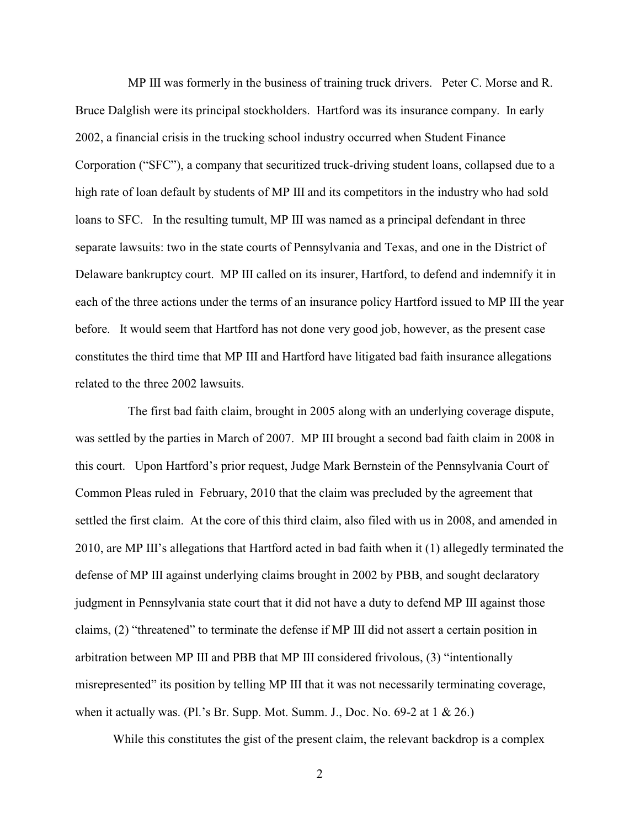MP III was formerly in the business of training truck drivers. Peter C. Morse and R. Bruce Dalglish were its principal stockholders. Hartford was its insurance company. In early 2002, a financial crisis in the trucking school industry occurred when Student Finance Corporation ("SFC"), a company that securitized truck-driving student loans, collapsed due to a high rate of loan default by students of MP III and its competitors in the industry who had sold loans to SFC. In the resulting tumult, MP III was named as a principal defendant in three separate lawsuits: two in the state courts of Pennsylvania and Texas, and one in the District of Delaware bankruptcy court. MP III called on its insurer, Hartford, to defend and indemnify it in each of the three actions under the terms of an insurance policy Hartford issued to MP III the year before. It would seem that Hartford has not done very good job, however, as the present case constitutes the third time that MP III and Hartford have litigated bad faith insurance allegations related to the three 2002 lawsuits.

The first bad faith claim, brought in 2005 along with an underlying coverage dispute, was settled by the parties in March of 2007. MP III brought a second bad faith claim in 2008 in this court. Upon Hartford's prior request, Judge Mark Bernstein of the Pennsylvania Court of Common Pleas ruled in February, 2010 that the claim was precluded by the agreement that settled the first claim. At the core of this third claim, also filed with us in 2008, and amended in 2010, are MP III's allegations that Hartford acted in bad faith when it (1) allegedly terminated the defense of MP III against underlying claims brought in 2002 by PBB, and sought declaratory judgment in Pennsylvania state court that it did not have a duty to defend MP III against those claims, (2) "threatened" to terminate the defense if MP III did not assert a certain position in arbitration between MP III and PBB that MP III considered frivolous, (3) "intentionally misrepresented" its position by telling MP III that it was not necessarily terminating coverage, when it actually was. (Pl.'s Br. Supp. Mot. Summ. J., Doc. No.  $69-2$  at 1 & 26.)

While this constitutes the gist of the present claim, the relevant backdrop is a complex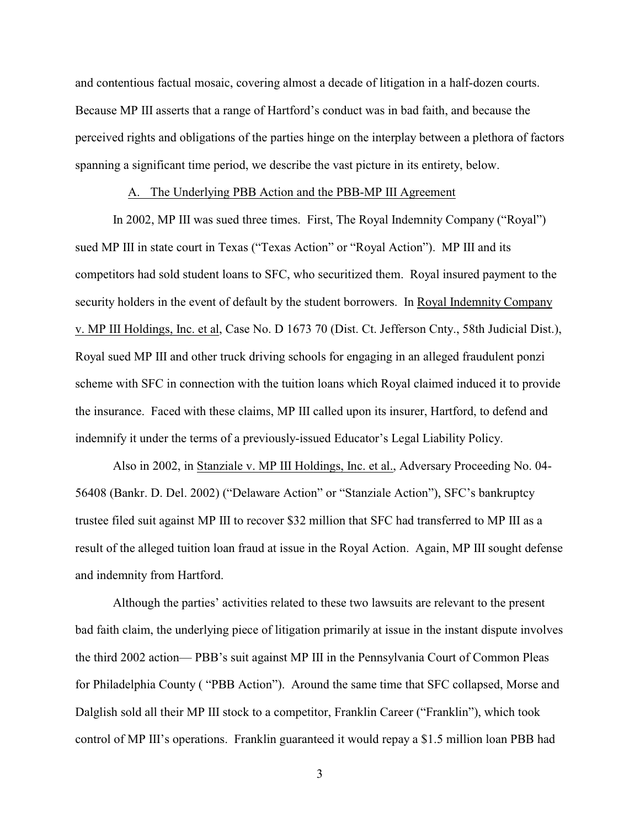and contentious factual mosaic, covering almost a decade of litigation in a half-dozen courts. Because MP III asserts that a range of Hartford's conduct was in bad faith, and because the perceived rights and obligations of the parties hinge on the interplay between a plethora of factors spanning a significant time period, we describe the vast picture in its entirety, below.

# A. The Underlying PBB Action and the PBB-MP III Agreement

In 2002, MP III was sued three times. First, The Royal Indemnity Company ("Royal") sued MP III in state court in Texas ("Texas Action" or "Royal Action"). MP III and its competitors had sold student loans to SFC, who securitized them. Royal insured payment to the security holders in the event of default by the student borrowers. In Royal Indemnity Company v. MP III Holdings, Inc. et al, Case No. D 1673 70 (Dist. Ct. Jefferson Cnty., 58th Judicial Dist.), Royal sued MP III and other truck driving schools for engaging in an alleged fraudulent ponzi scheme with SFC in connection with the tuition loans which Royal claimed induced it to provide the insurance. Faced with these claims, MP III called upon its insurer, Hartford, to defend and indemnify it under the terms of a previously-issued Educator's Legal Liability Policy.

Also in 2002, in Stanziale v. MP III Holdings, Inc. et al., Adversary Proceeding No. 04- 56408 (Bankr. D. Del. 2002) ("Delaware Action" or "Stanziale Action"), SFC's bankruptcy trustee filed suit against MP III to recover \$32 million that SFC had transferred to MP III as a result of the alleged tuition loan fraud at issue in the Royal Action. Again, MP III sought defense and indemnity from Hartford.

Although the parties' activities related to these two lawsuits are relevant to the present bad faith claim, the underlying piece of litigation primarily at issue in the instant dispute involves the third 2002 action— PBB's suit against MP III in the Pennsylvania Court of Common Pleas for Philadelphia County ( "PBB Action"). Around the same time that SFC collapsed, Morse and Dalglish sold all their MP III stock to a competitor, Franklin Career ("Franklin"), which took control of MP III's operations. Franklin guaranteed it would repay a \$1.5 million loan PBB had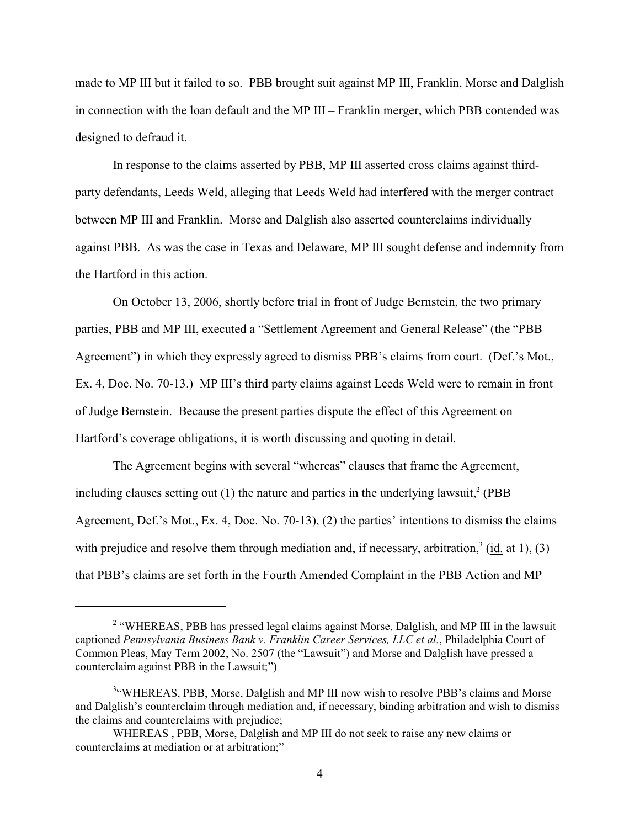made to MP III but it failed to so. PBB brought suit against MP III, Franklin, Morse and Dalglish in connection with the loan default and the MP III – Franklin merger, which PBB contended was designed to defraud it.

In response to the claims asserted by PBB, MP III asserted cross claims against thirdparty defendants, Leeds Weld, alleging that Leeds Weld had interfered with the merger contract between MP III and Franklin. Morse and Dalglish also asserted counterclaims individually against PBB. As was the case in Texas and Delaware, MP III sought defense and indemnity from the Hartford in this action.

On October 13, 2006, shortly before trial in front of Judge Bernstein, the two primary parties, PBB and MP III, executed a "Settlement Agreement and General Release" (the "PBB Agreement") in which they expressly agreed to dismiss PBB's claims from court. (Def.'s Mot., Ex. 4, Doc. No. 70-13.) MP III's third party claims against Leeds Weld were to remain in front of Judge Bernstein. Because the present parties dispute the effect of this Agreement on Hartford's coverage obligations, it is worth discussing and quoting in detail.

The Agreement begins with several "whereas" clauses that frame the Agreement, including clauses setting out  $(1)$  the nature and parties in the underlying lawsuit,<sup>2</sup> (PBB Agreement, Def.'s Mot., Ex. 4, Doc. No. 70-13), (2) the parties' intentions to dismiss the claims with prejudice and resolve them through mediation and, if necessary, arbitration,  $3$  (id. at 1), (3) that PBB's claims are set forth in the Fourth Amended Complaint in the PBB Action and MP

<sup>&</sup>lt;sup>2</sup> "WHEREAS, PBB has pressed legal claims against Morse, Dalglish, and MP III in the lawsuit captioned *Pennsylvania Business Bank v. Franklin Career Services, LLC et al.*, Philadelphia Court of Common Pleas, May Term 2002, No. 2507 (the "Lawsuit") and Morse and Dalglish have pressed a counterclaim against PBB in the Lawsuit;")

<sup>&</sup>lt;sup>3</sup>"WHEREAS, PBB, Morse, Dalglish and MP III now wish to resolve PBB's claims and Morse and Dalglish's counterclaim through mediation and, if necessary, binding arbitration and wish to dismiss the claims and counterclaims with prejudice;

WHEREAS , PBB, Morse, Dalglish and MP III do not seek to raise any new claims or counterclaims at mediation or at arbitration;"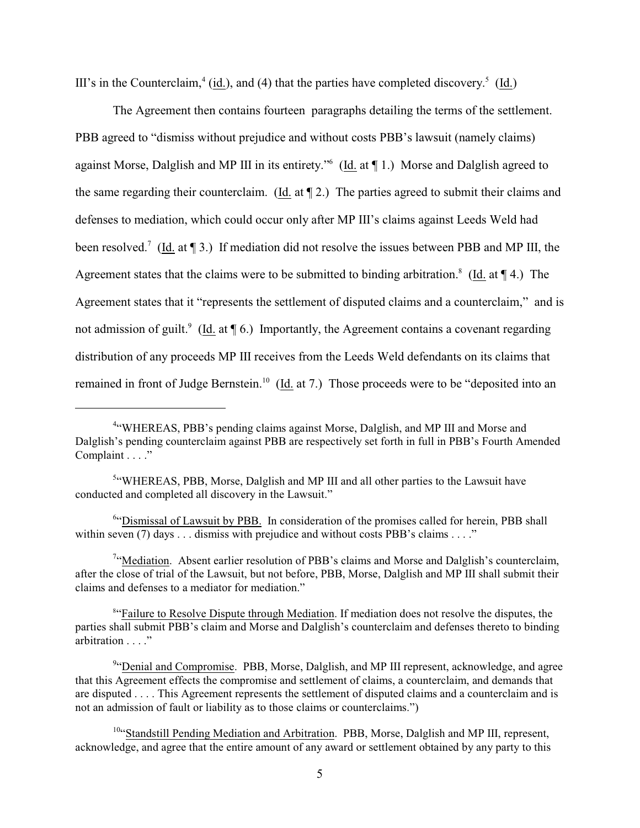III's in the Counterclaim,<sup>4</sup> (id.), and (4) that the parties have completed discovery.<sup>5</sup> (Id.)

The Agreement then contains fourteen paragraphs detailing the terms of the settlement. PBB agreed to "dismiss without prejudice and without costs PBB's lawsuit (namely claims) against Morse, Dalglish and MP III in its entirety."<sup>6</sup> (Id. at 11.) Morse and Dalglish agreed to the same regarding their counterclaim. (Id. at ¶ 2.) The parties agreed to submit their claims and defenses to mediation, which could occur only after MP III's claims against Leeds Weld had been resolved.<sup>7</sup> (Id. at  $\P$  3.) If mediation did not resolve the issues between PBB and MP III, the Agreement states that the claims were to be submitted to binding arbitration.<sup>8</sup> (Id. at  $\P$  4.) The Agreement states that it "represents the settlement of disputed claims and a counterclaim," and is not admission of guilt.<sup>9</sup> (Id. at  $\P$  6.) Importantly, the Agreement contains a covenant regarding distribution of any proceeds MP III receives from the Leeds Weld defendants on its claims that remained in front of Judge Bernstein.<sup>10</sup> (Id. at 7.) Those proceeds were to be "deposited into an

<sup>7</sup>"Mediation. Absent earlier resolution of PBB's claims and Morse and Dalglish's counterclaim, after the close of trial of the Lawsuit, but not before, PBB, Morse, Dalglish and MP III shall submit their claims and defenses to a mediator for mediation."

<sup>8</sup> Failure to Resolve Dispute through Mediation. If mediation does not resolve the disputes, the parties shall submit PBB's claim and Morse and Dalglish's counterclaim and defenses thereto to binding arbitration . . . ."

<sup>&</sup>lt;sup>4"</sup>WHEREAS, PBB's pending claims against Morse, Dalglish, and MP III and Morse and Dalglish's pending counterclaim against PBB are respectively set forth in full in PBB's Fourth Amended Complaint . . . ."

<sup>&</sup>lt;sup>5</sup>"WHEREAS, PBB, Morse, Dalglish and MP III and all other parties to the Lawsuit have conducted and completed all discovery in the Lawsuit."

 $64$  Dismissal of Lawsuit by PBB. In consideration of the promises called for herein, PBB shall within seven (7) days . . . dismiss with prejudice and without costs PBB's claims . . . ."

<sup>&</sup>lt;sup>9</sup> Denial and Compromise. PBB, Morse, Dalglish, and MP III represent, acknowledge, and agree that this Agreement effects the compromise and settlement of claims, a counterclaim, and demands that are disputed . . . . This Agreement represents the settlement of disputed claims and a counterclaim and is not an admission of fault or liability as to those claims or counterclaims.")

<sup>&</sup>lt;sup>10</sup>"Standstill Pending Mediation and Arbitration. PBB, Morse, Dalglish and MP III, represent, acknowledge, and agree that the entire amount of any award or settlement obtained by any party to this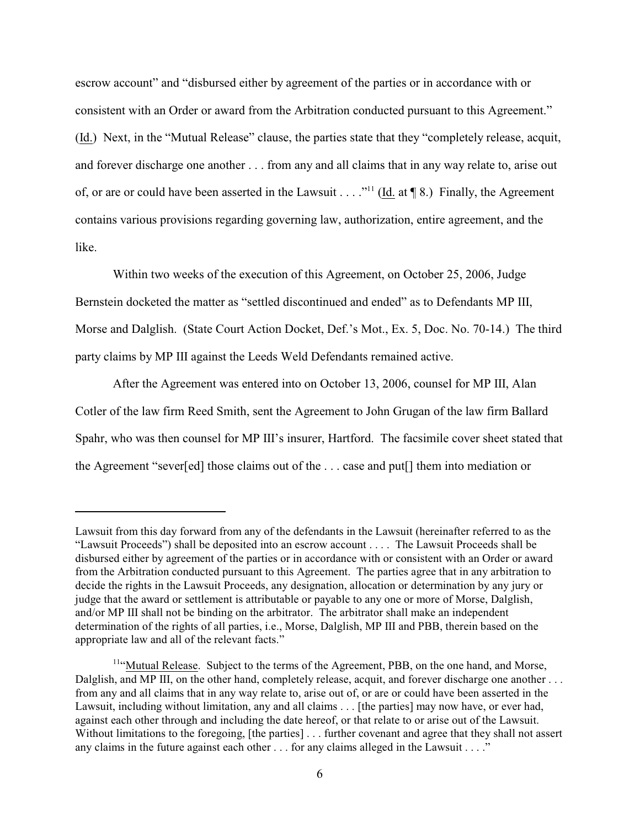escrow account" and "disbursed either by agreement of the parties or in accordance with or consistent with an Order or award from the Arbitration conducted pursuant to this Agreement." (Id.) Next, in the "Mutual Release" clause, the parties state that they "completely release, acquit, and forever discharge one another . . . from any and all claims that in any way relate to, arise out of, or are or could have been asserted in the Lawsuit . . . ."<sup>11</sup> (Id. at  $\P$  8.) Finally, the Agreement contains various provisions regarding governing law, authorization, entire agreement, and the like.

Within two weeks of the execution of this Agreement, on October 25, 2006, Judge Bernstein docketed the matter as "settled discontinued and ended" as to Defendants MP III, Morse and Dalglish. (State Court Action Docket, Def.'s Mot., Ex. 5, Doc. No. 70-14.) The third party claims by MP III against the Leeds Weld Defendants remained active.

After the Agreement was entered into on October 13, 2006, counsel for MP III, Alan Cotler of the law firm Reed Smith, sent the Agreement to John Grugan of the law firm Ballard Spahr, who was then counsel for MP III's insurer, Hartford. The facsimile cover sheet stated that the Agreement "sever[ed] those claims out of the . . . case and put[] them into mediation or

Lawsuit from this day forward from any of the defendants in the Lawsuit (hereinafter referred to as the "Lawsuit Proceeds") shall be deposited into an escrow account . . . . The Lawsuit Proceeds shall be disbursed either by agreement of the parties or in accordance with or consistent with an Order or award from the Arbitration conducted pursuant to this Agreement. The parties agree that in any arbitration to decide the rights in the Lawsuit Proceeds, any designation, allocation or determination by any jury or judge that the award or settlement is attributable or payable to any one or more of Morse, Dalglish, and/or MP III shall not be binding on the arbitrator. The arbitrator shall make an independent determination of the rights of all parties, i.e., Morse, Dalglish, MP III and PBB, therein based on the appropriate law and all of the relevant facts."

 $<sup>11</sup>$ "Mutual Release. Subject to the terms of the Agreement, PBB, on the one hand, and Morse,</sup> Dalglish, and MP III, on the other hand, completely release, acquit, and forever discharge one another ... from any and all claims that in any way relate to, arise out of, or are or could have been asserted in the Lawsuit, including without limitation, any and all claims . . . [the parties] may now have, or ever had, against each other through and including the date hereof, or that relate to or arise out of the Lawsuit. Without limitations to the foregoing, [the parties] . . . further covenant and agree that they shall not assert any claims in the future against each other . . . for any claims alleged in the Lawsuit . . . ."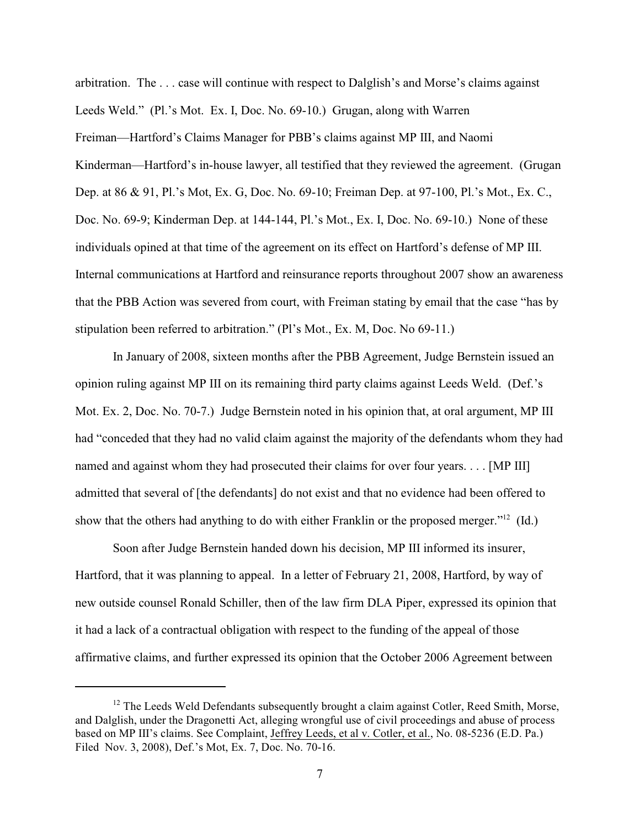arbitration. The . . . case will continue with respect to Dalglish's and Morse's claims against Leeds Weld." (Pl.'s Mot. Ex. I, Doc. No. 69-10.) Grugan, along with Warren Freiman—Hartford's Claims Manager for PBB's claims against MP III, and Naomi Kinderman—Hartford's in-house lawyer, all testified that they reviewed the agreement. (Grugan Dep. at 86 & 91, Pl.'s Mot, Ex. G, Doc. No. 69-10; Freiman Dep. at 97-100, Pl.'s Mot., Ex. C., Doc. No. 69-9; Kinderman Dep. at 144-144, Pl.'s Mot., Ex. I, Doc. No. 69-10.) None of these individuals opined at that time of the agreement on its effect on Hartford's defense of MP III. Internal communications at Hartford and reinsurance reports throughout 2007 show an awareness that the PBB Action was severed from court, with Freiman stating by email that the case "has by stipulation been referred to arbitration." (Pl's Mot., Ex. M, Doc. No 69-11.)

In January of 2008, sixteen months after the PBB Agreement, Judge Bernstein issued an opinion ruling against MP III on its remaining third party claims against Leeds Weld. (Def.'s Mot. Ex. 2, Doc. No. 70-7.) Judge Bernstein noted in his opinion that, at oral argument, MP III had "conceded that they had no valid claim against the majority of the defendants whom they had named and against whom they had prosecuted their claims for over four years. . . . [MP III] admitted that several of [the defendants] do not exist and that no evidence had been offered to show that the others had anything to do with either Franklin or the proposed merger."<sup>12</sup> (Id.)

Soon after Judge Bernstein handed down his decision, MP III informed its insurer, Hartford, that it was planning to appeal. In a letter of February 21, 2008, Hartford, by way of new outside counsel Ronald Schiller, then of the law firm DLA Piper, expressed its opinion that it had a lack of a contractual obligation with respect to the funding of the appeal of those affirmative claims, and further expressed its opinion that the October 2006 Agreement between

 $12$  The Leeds Weld Defendants subsequently brought a claim against Cotler, Reed Smith, Morse, and Dalglish, under the Dragonetti Act, alleging wrongful use of civil proceedings and abuse of process based on MP III's claims. See Complaint, Jeffrey Leeds, et al v. Cotler, et al., No. 08-5236 (E.D. Pa.) Filed Nov. 3, 2008), Def.'s Mot, Ex. 7, Doc. No. 70-16.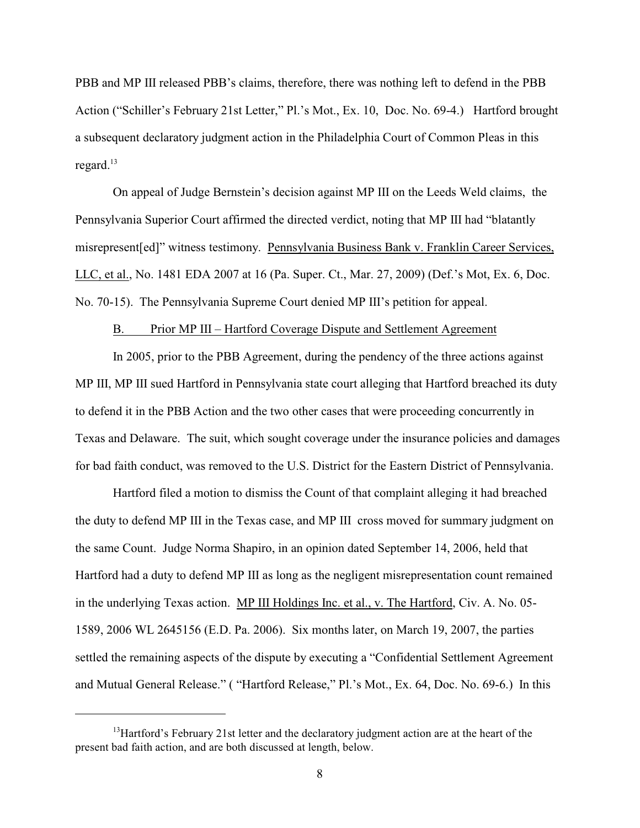PBB and MP III released PBB's claims, therefore, there was nothing left to defend in the PBB Action ("Schiller's February 21st Letter," Pl.'s Mot., Ex. 10, Doc. No. 69-4.) Hartford brought a subsequent declaratory judgment action in the Philadelphia Court of Common Pleas in this regard.<sup>13</sup>

On appeal of Judge Bernstein's decision against MP III on the Leeds Weld claims, the Pennsylvania Superior Court affirmed the directed verdict, noting that MP III had "blatantly misrepresent[ed]" witness testimony. Pennsylvania Business Bank v. Franklin Career Services, LLC, et al., No. 1481 EDA 2007 at 16 (Pa. Super. Ct., Mar. 27, 2009) (Def.'s Mot, Ex. 6, Doc. No. 70-15). The Pennsylvania Supreme Court denied MP III's petition for appeal.

# B. Prior MP III – Hartford Coverage Dispute and Settlement Agreement

In 2005, prior to the PBB Agreement, during the pendency of the three actions against MP III, MP III sued Hartford in Pennsylvania state court alleging that Hartford breached its duty to defend it in the PBB Action and the two other cases that were proceeding concurrently in Texas and Delaware. The suit, which sought coverage under the insurance policies and damages for bad faith conduct, was removed to the U.S. District for the Eastern District of Pennsylvania.

Hartford filed a motion to dismiss the Count of that complaint alleging it had breached the duty to defend MP III in the Texas case, and MP III cross moved for summary judgment on the same Count. Judge Norma Shapiro, in an opinion dated September 14, 2006, held that Hartford had a duty to defend MP III as long as the negligent misrepresentation count remained in the underlying Texas action. MP III Holdings Inc. et al., v. The Hartford, Civ. A. No. 05- 1589, 2006 WL 2645156 (E.D. Pa. 2006). Six months later, on March 19, 2007, the parties settled the remaining aspects of the dispute by executing a "Confidential Settlement Agreement and Mutual General Release." ( "Hartford Release," Pl.'s Mot., Ex. 64, Doc. No. 69-6.) In this

 $^{13}$ Hartford's February 21st letter and the declaratory judgment action are at the heart of the present bad faith action, and are both discussed at length, below.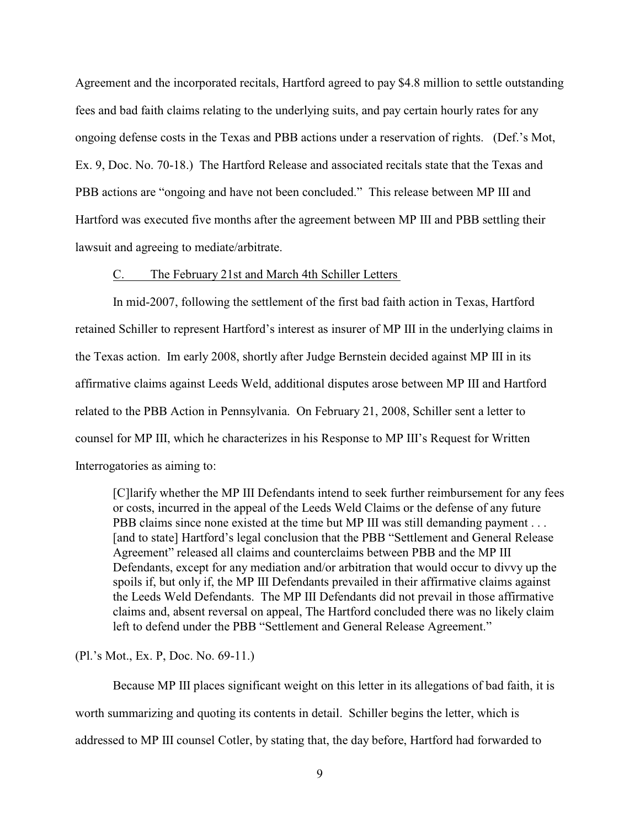Agreement and the incorporated recitals, Hartford agreed to pay \$4.8 million to settle outstanding fees and bad faith claims relating to the underlying suits, and pay certain hourly rates for any ongoing defense costs in the Texas and PBB actions under a reservation of rights. (Def.'s Mot, Ex. 9, Doc. No. 70-18.) The Hartford Release and associated recitals state that the Texas and PBB actions are "ongoing and have not been concluded." This release between MP III and Hartford was executed five months after the agreement between MP III and PBB settling their lawsuit and agreeing to mediate/arbitrate.

# C. The February 21st and March 4th Schiller Letters

In mid-2007, following the settlement of the first bad faith action in Texas, Hartford retained Schiller to represent Hartford's interest as insurer of MP III in the underlying claims in the Texas action. Im early 2008, shortly after Judge Bernstein decided against MP III in its affirmative claims against Leeds Weld, additional disputes arose between MP III and Hartford related to the PBB Action in Pennsylvania. On February 21, 2008, Schiller sent a letter to counsel for MP III, which he characterizes in his Response to MP III's Request for Written Interrogatories as aiming to:

[C]larify whether the MP III Defendants intend to seek further reimbursement for any fees or costs, incurred in the appeal of the Leeds Weld Claims or the defense of any future PBB claims since none existed at the time but MP III was still demanding payment . . . [and to state] Hartford's legal conclusion that the PBB "Settlement and General Release Agreement" released all claims and counterclaims between PBB and the MP III Defendants, except for any mediation and/or arbitration that would occur to divvy up the spoils if, but only if, the MP III Defendants prevailed in their affirmative claims against the Leeds Weld Defendants. The MP III Defendants did not prevail in those affirmative claims and, absent reversal on appeal, The Hartford concluded there was no likely claim left to defend under the PBB "Settlement and General Release Agreement."

(Pl.'s Mot., Ex. P, Doc. No. 69-11.)

Because MP III places significant weight on this letter in its allegations of bad faith, it is worth summarizing and quoting its contents in detail. Schiller begins the letter, which is addressed to MP III counsel Cotler, by stating that, the day before, Hartford had forwarded to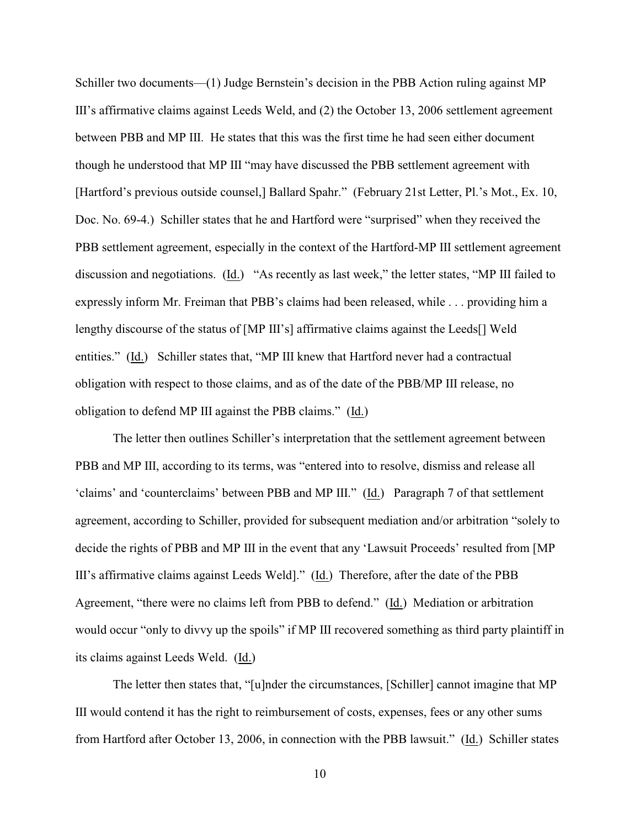Schiller two documents—(1) Judge Bernstein's decision in the PBB Action ruling against MP III's affirmative claims against Leeds Weld, and (2) the October 13, 2006 settlement agreement between PBB and MP III. He states that this was the first time he had seen either document though he understood that MP III "may have discussed the PBB settlement agreement with [Hartford's previous outside counsel,] Ballard Spahr." (February 21st Letter, Pl.'s Mot., Ex. 10, Doc. No. 69-4.) Schiller states that he and Hartford were "surprised" when they received the PBB settlement agreement, especially in the context of the Hartford-MP III settlement agreement discussion and negotiations. (Id.) "As recently as last week," the letter states, "MP III failed to expressly inform Mr. Freiman that PBB's claims had been released, while . . . providing him a lengthy discourse of the status of [MP III's] affirmative claims against the Leeds[] Weld entities." (Id.) Schiller states that, "MP III knew that Hartford never had a contractual obligation with respect to those claims, and as of the date of the PBB/MP III release, no obligation to defend MP III against the PBB claims." (Id.)

The letter then outlines Schiller's interpretation that the settlement agreement between PBB and MP III, according to its terms, was "entered into to resolve, dismiss and release all 'claims' and 'counterclaims' between PBB and MP III." (Id.) Paragraph 7 of that settlement agreement, according to Schiller, provided for subsequent mediation and/or arbitration "solely to decide the rights of PBB and MP III in the event that any 'Lawsuit Proceeds' resulted from [MP III's affirmative claims against Leeds Weld]." (Id.) Therefore, after the date of the PBB Agreement, "there were no claims left from PBB to defend." (Id.) Mediation or arbitration would occur "only to divvy up the spoils" if MP III recovered something as third party plaintiff in its claims against Leeds Weld. (Id.)

The letter then states that, "[u]nder the circumstances, [Schiller] cannot imagine that MP III would contend it has the right to reimbursement of costs, expenses, fees or any other sums from Hartford after October 13, 2006, in connection with the PBB lawsuit." (Id.) Schiller states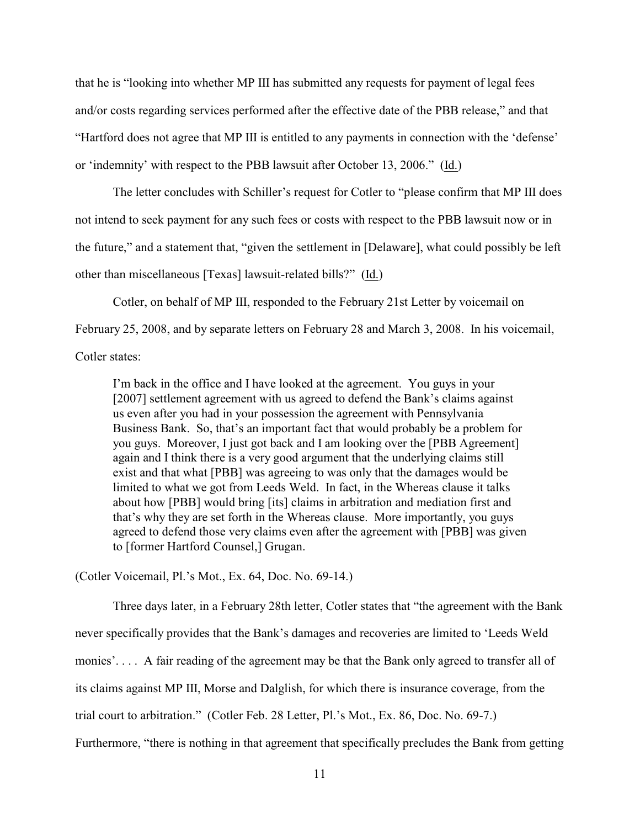that he is "looking into whether MP III has submitted any requests for payment of legal fees and/or costs regarding services performed after the effective date of the PBB release," and that "Hartford does not agree that MP III is entitled to any payments in connection with the 'defense' or 'indemnity' with respect to the PBB lawsuit after October 13, 2006." (Id.)

The letter concludes with Schiller's request for Cotler to "please confirm that MP III does not intend to seek payment for any such fees or costs with respect to the PBB lawsuit now or in the future," and a statement that, "given the settlement in [Delaware], what could possibly be left other than miscellaneous [Texas] lawsuit-related bills?" (Id.)

Cotler, on behalf of MP III, responded to the February 21st Letter by voicemail on February 25, 2008, and by separate letters on February 28 and March 3, 2008. In his voicemail, Cotler states:

I'm back in the office and I have looked at the agreement. You guys in your [2007] settlement agreement with us agreed to defend the Bank's claims against us even after you had in your possession the agreement with Pennsylvania Business Bank. So, that's an important fact that would probably be a problem for you guys. Moreover, I just got back and I am looking over the [PBB Agreement] again and I think there is a very good argument that the underlying claims still exist and that what [PBB] was agreeing to was only that the damages would be limited to what we got from Leeds Weld. In fact, in the Whereas clause it talks about how [PBB] would bring [its] claims in arbitration and mediation first and that's why they are set forth in the Whereas clause. More importantly, you guys agreed to defend those very claims even after the agreement with [PBB] was given to [former Hartford Counsel,] Grugan.

(Cotler Voicemail, Pl.'s Mot., Ex. 64, Doc. No. 69-14.)

Three days later, in a February 28th letter, Cotler states that "the agreement with the Bank never specifically provides that the Bank's damages and recoveries are limited to 'Leeds Weld monies'.... A fair reading of the agreement may be that the Bank only agreed to transfer all of its claims against MP III, Morse and Dalglish, for which there is insurance coverage, from the trial court to arbitration." (Cotler Feb. 28 Letter, Pl.'s Mot., Ex. 86, Doc. No. 69-7.) Furthermore, "there is nothing in that agreement that specifically precludes the Bank from getting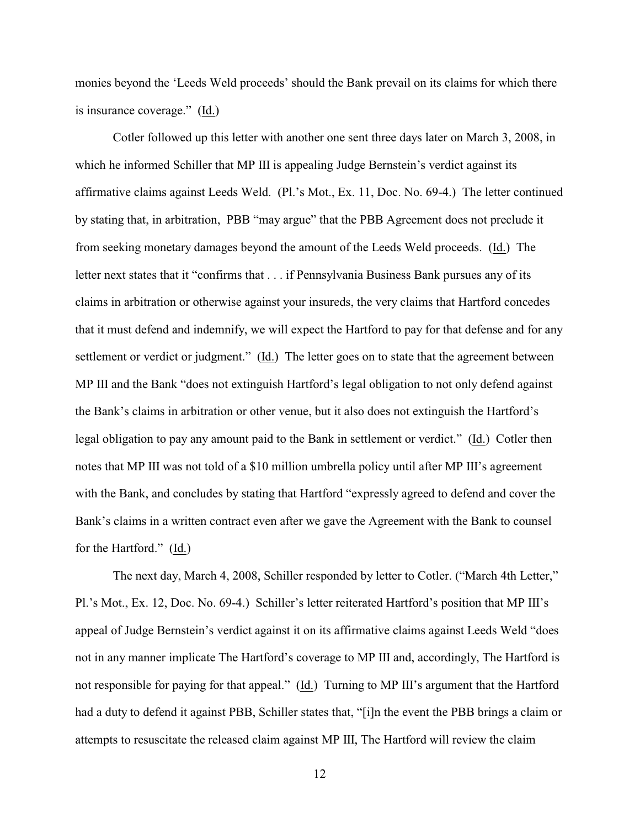monies beyond the 'Leeds Weld proceeds' should the Bank prevail on its claims for which there is insurance coverage." (Id.)

Cotler followed up this letter with another one sent three days later on March 3, 2008, in which he informed Schiller that MP III is appealing Judge Bernstein's verdict against its affirmative claims against Leeds Weld. (Pl.'s Mot., Ex. 11, Doc. No. 69-4.) The letter continued by stating that, in arbitration, PBB "may argue" that the PBB Agreement does not preclude it from seeking monetary damages beyond the amount of the Leeds Weld proceeds. (Id.) The letter next states that it "confirms that . . . if Pennsylvania Business Bank pursues any of its claims in arbitration or otherwise against your insureds, the very claims that Hartford concedes that it must defend and indemnify, we will expect the Hartford to pay for that defense and for any settlement or verdict or judgment." (Id.) The letter goes on to state that the agreement between MP III and the Bank "does not extinguish Hartford's legal obligation to not only defend against the Bank's claims in arbitration or other venue, but it also does not extinguish the Hartford's legal obligation to pay any amount paid to the Bank in settlement or verdict." (Id.) Cotler then notes that MP III was not told of a \$10 million umbrella policy until after MP III's agreement with the Bank, and concludes by stating that Hartford "expressly agreed to defend and cover the Bank's claims in a written contract even after we gave the Agreement with the Bank to counsel for the Hartford." (Id.)

The next day, March 4, 2008, Schiller responded by letter to Cotler. ("March 4th Letter," Pl.'s Mot., Ex. 12, Doc. No. 69-4.) Schiller's letter reiterated Hartford's position that MP III's appeal of Judge Bernstein's verdict against it on its affirmative claims against Leeds Weld "does not in any manner implicate The Hartford's coverage to MP III and, accordingly, The Hartford is not responsible for paying for that appeal." (Id.) Turning to MP III's argument that the Hartford had a duty to defend it against PBB, Schiller states that, "[i]n the event the PBB brings a claim or attempts to resuscitate the released claim against MP III, The Hartford will review the claim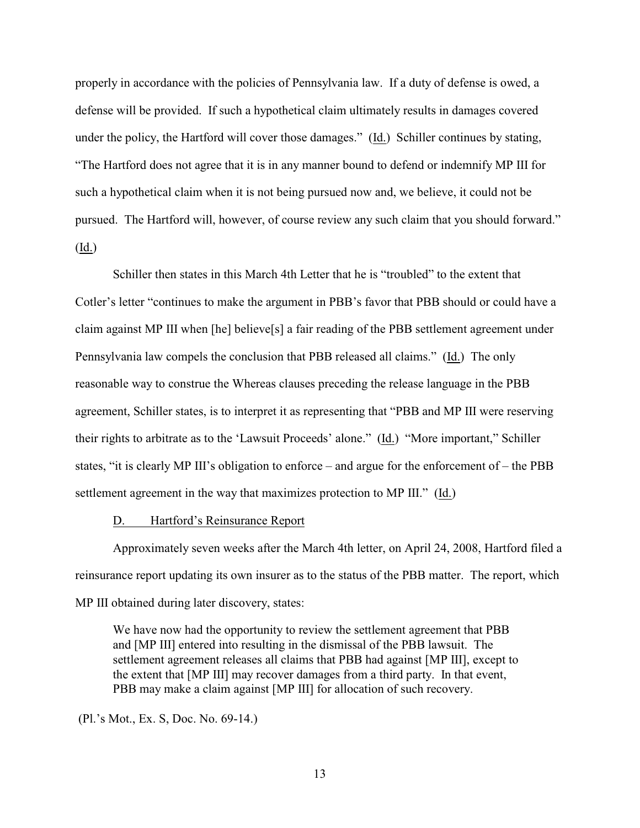properly in accordance with the policies of Pennsylvania law. If a duty of defense is owed, a defense will be provided. If such a hypothetical claim ultimately results in damages covered under the policy, the Hartford will cover those damages." (Id.) Schiller continues by stating, "The Hartford does not agree that it is in any manner bound to defend or indemnify MP III for such a hypothetical claim when it is not being pursued now and, we believe, it could not be pursued. The Hartford will, however, of course review any such claim that you should forward." (Id.)

Schiller then states in this March 4th Letter that he is "troubled" to the extent that Cotler's letter "continues to make the argument in PBB's favor that PBB should or could have a claim against MP III when [he] believe[s] a fair reading of the PBB settlement agreement under Pennsylvania law compels the conclusion that PBB released all claims." (Id.) The only reasonable way to construe the Whereas clauses preceding the release language in the PBB agreement, Schiller states, is to interpret it as representing that "PBB and MP III were reserving their rights to arbitrate as to the 'Lawsuit Proceeds' alone." (Id.) "More important," Schiller states, "it is clearly MP III's obligation to enforce – and argue for the enforcement of – the PBB settlement agreement in the way that maximizes protection to MP III." (Id.)

### D. Hartford's Reinsurance Report

Approximately seven weeks after the March 4th letter, on April 24, 2008, Hartford filed a reinsurance report updating its own insurer as to the status of the PBB matter. The report, which MP III obtained during later discovery, states:

We have now had the opportunity to review the settlement agreement that PBB and [MP III] entered into resulting in the dismissal of the PBB lawsuit. The settlement agreement releases all claims that PBB had against [MP III], except to the extent that [MP III] may recover damages from a third party. In that event, PBB may make a claim against [MP III] for allocation of such recovery.

(Pl.'s Mot., Ex. S, Doc. No. 69-14.)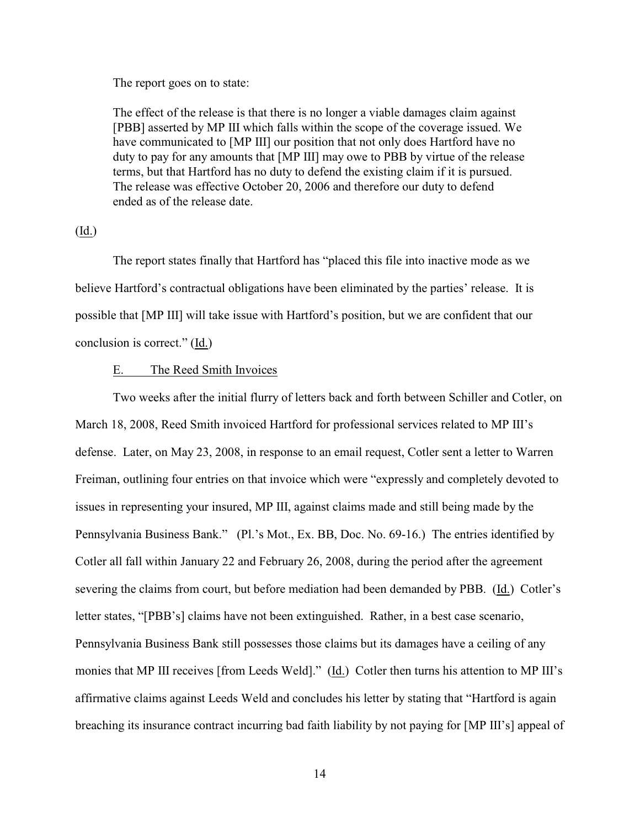The report goes on to state:

The effect of the release is that there is no longer a viable damages claim against [PBB] asserted by MP III which falls within the scope of the coverage issued. We have communicated to [MP III] our position that not only does Hartford have no duty to pay for any amounts that [MP III] may owe to PBB by virtue of the release terms, but that Hartford has no duty to defend the existing claim if it is pursued. The release was effective October 20, 2006 and therefore our duty to defend ended as of the release date.

# (Id.)

The report states finally that Hartford has "placed this file into inactive mode as we believe Hartford's contractual obligations have been eliminated by the parties' release. It is possible that [MP III] will take issue with Hartford's position, but we are confident that our conclusion is correct." (Id.)

# E. The Reed Smith Invoices

Two weeks after the initial flurry of letters back and forth between Schiller and Cotler, on March 18, 2008, Reed Smith invoiced Hartford for professional services related to MP III's defense. Later, on May 23, 2008, in response to an email request, Cotler sent a letter to Warren Freiman, outlining four entries on that invoice which were "expressly and completely devoted to issues in representing your insured, MP III, against claims made and still being made by the Pennsylvania Business Bank." (Pl.'s Mot., Ex. BB, Doc. No. 69-16.) The entries identified by Cotler all fall within January 22 and February 26, 2008, during the period after the agreement severing the claims from court, but before mediation had been demanded by PBB. (Id.) Cotler's letter states, "[PBB's] claims have not been extinguished. Rather, in a best case scenario, Pennsylvania Business Bank still possesses those claims but its damages have a ceiling of any monies that MP III receives [from Leeds Weld]." (Id.) Cotler then turns his attention to MP III's affirmative claims against Leeds Weld and concludes his letter by stating that "Hartford is again breaching its insurance contract incurring bad faith liability by not paying for [MP III's] appeal of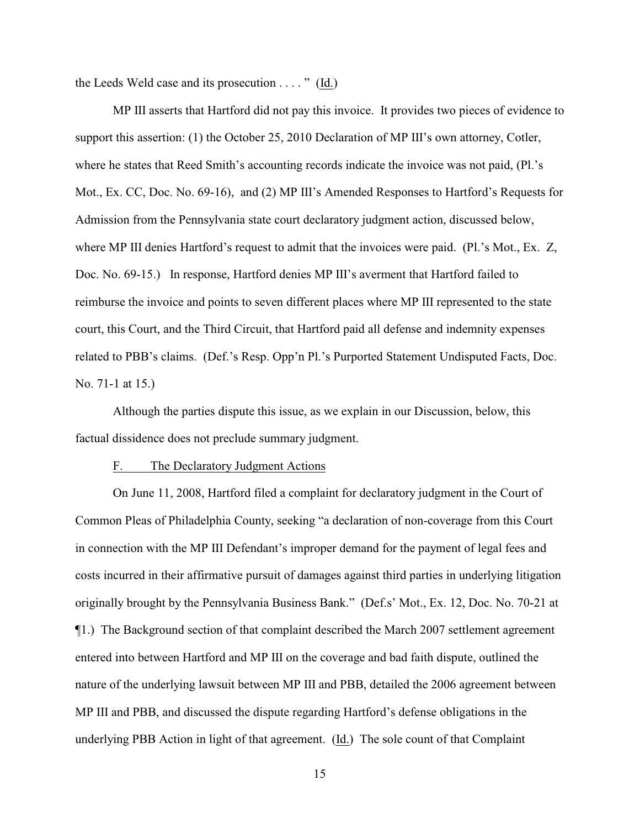the Leeds Weld case and its prosecution  $\dots$  " (Id.)

MP III asserts that Hartford did not pay this invoice. It provides two pieces of evidence to support this assertion: (1) the October 25, 2010 Declaration of MP III's own attorney, Cotler, where he states that Reed Smith's accounting records indicate the invoice was not paid, (Pl.'s Mot., Ex. CC, Doc. No. 69-16), and (2) MP III's Amended Responses to Hartford's Requests for Admission from the Pennsylvania state court declaratory judgment action, discussed below, where MP III denies Hartford's request to admit that the invoices were paid. (Pl.'s Mot., Ex. Z, Doc. No. 69-15.) In response, Hartford denies MP III's averment that Hartford failed to reimburse the invoice and points to seven different places where MP III represented to the state court, this Court, and the Third Circuit, that Hartford paid all defense and indemnity expenses related to PBB's claims. (Def.'s Resp. Opp'n Pl.'s Purported Statement Undisputed Facts, Doc. No. 71-1 at 15.)

Although the parties dispute this issue, as we explain in our Discussion, below, this factual dissidence does not preclude summary judgment.

## F. The Declaratory Judgment Actions

On June 11, 2008, Hartford filed a complaint for declaratory judgment in the Court of Common Pleas of Philadelphia County, seeking "a declaration of non-coverage from this Court in connection with the MP III Defendant's improper demand for the payment of legal fees and costs incurred in their affirmative pursuit of damages against third parties in underlying litigation originally brought by the Pennsylvania Business Bank." (Def.s' Mot., Ex. 12, Doc. No. 70-21 at ¶1.) The Background section of that complaint described the March 2007 settlement agreement entered into between Hartford and MP III on the coverage and bad faith dispute, outlined the nature of the underlying lawsuit between MP III and PBB, detailed the 2006 agreement between MP III and PBB, and discussed the dispute regarding Hartford's defense obligations in the underlying PBB Action in light of that agreement. (Id.) The sole count of that Complaint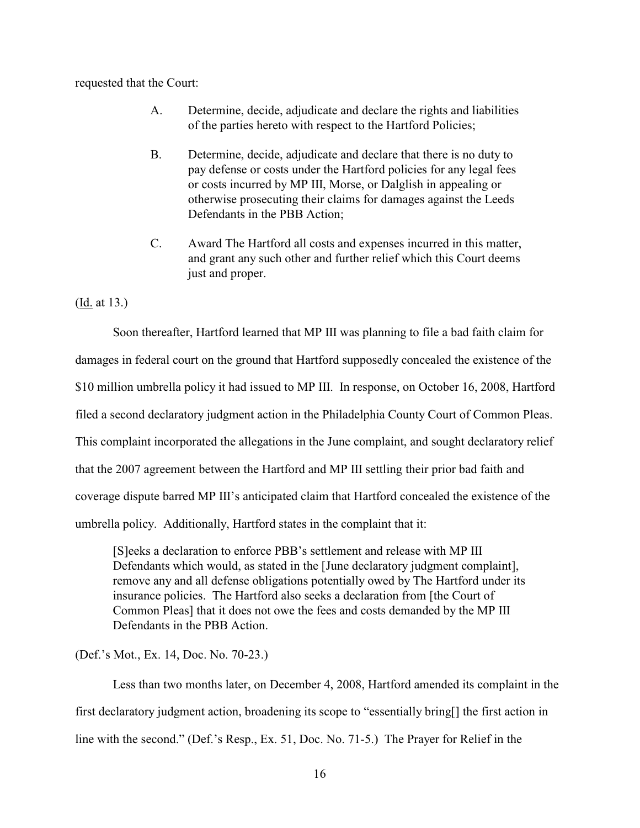requested that the Court:

- A. Determine, decide, adjudicate and declare the rights and liabilities of the parties hereto with respect to the Hartford Policies;
- B. Determine, decide, adjudicate and declare that there is no duty to pay defense or costs under the Hartford policies for any legal fees or costs incurred by MP III, Morse, or Dalglish in appealing or otherwise prosecuting their claims for damages against the Leeds Defendants in the PBB Action;
- C. Award The Hartford all costs and expenses incurred in this matter, and grant any such other and further relief which this Court deems just and proper.

(Id. at 13.)

Soon thereafter, Hartford learned that MP III was planning to file a bad faith claim for damages in federal court on the ground that Hartford supposedly concealed the existence of the \$10 million umbrella policy it had issued to MP III. In response, on October 16, 2008, Hartford filed a second declaratory judgment action in the Philadelphia County Court of Common Pleas. This complaint incorporated the allegations in the June complaint, and sought declaratory relief that the 2007 agreement between the Hartford and MP III settling their prior bad faith and coverage dispute barred MP III's anticipated claim that Hartford concealed the existence of the umbrella policy. Additionally, Hartford states in the complaint that it:

[S]eeks a declaration to enforce PBB's settlement and release with MP III Defendants which would, as stated in the [June declaratory judgment complaint], remove any and all defense obligations potentially owed by The Hartford under its insurance policies. The Hartford also seeks a declaration from [the Court of Common Pleas] that it does not owe the fees and costs demanded by the MP III Defendants in the PBB Action.

(Def.'s Mot., Ex. 14, Doc. No. 70-23.)

Less than two months later, on December 4, 2008, Hartford amended its complaint in the first declaratory judgment action, broadening its scope to "essentially bring[] the first action in line with the second." (Def.'s Resp., Ex. 51, Doc. No. 71-5.) The Prayer for Relief in the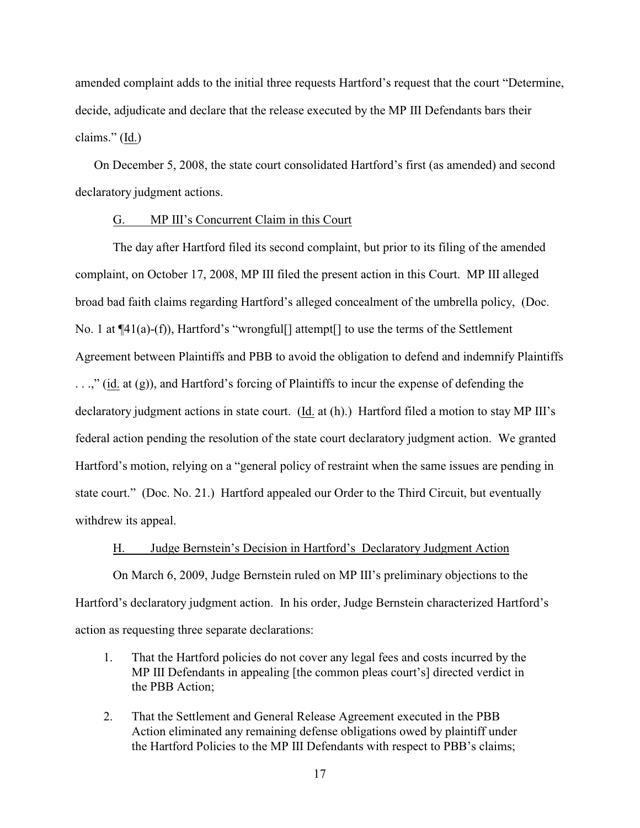amended complaint adds to the initial three requests Hartford's request that the court "Determine, decide, adjudicate and declare that the release executed by the MP III Defendants bars their claims." (Id.)

On December 5, 2008, the state court consolidated Hartford's first (as amended) and second declaratory judgment actions.

# G. MP III's Concurrent Claim in this Court

The day after Hartford filed its second complaint, but prior to its filing of the amended complaint, on October 17, 2008, MP III filed the present action in this Court. MP III alleged broad bad faith claims regarding Hartford's alleged concealment of the umbrella policy, (Doc. No. 1 at  $\P(41(a)-f)$ ), Hartford's "wrongful | attempt | to use the terms of the Settlement Agreement between Plaintiffs and PBB to avoid the obligation to defend and indemnify Plaintiffs . . .," (id. at (g)), and Hartford's forcing of Plaintiffs to incur the expense of defending the declaratory judgment actions in state court. (Id. at (h).) Hartford filed a motion to stay MP III's federal action pending the resolution of the state court declaratory judgment action. We granted Hartford's motion, relying on a "general policy of restraint when the same issues are pending in state court." (Doc. No. 21.) Hartford appealed our Order to the Third Circuit, but eventually withdrew its appeal.

# H. Judge Bernstein's Decision in Hartford's Declaratory Judgment Action

On March 6, 2009, Judge Bernstein ruled on MP III's preliminary objections to the Hartford's declaratory judgment action. In his order, Judge Bernstein characterized Hartford's action as requesting three separate declarations:

- 1. That the Hartford policies do not cover any legal fees and costs incurred by the MP III Defendants in appealing [the common pleas court's] directed verdict in the PBB Action;
- 2. That the Settlement and General Release Agreement executed in the PBB Action eliminated any remaining defense obligations owed by plaintiff under the Hartford Policies to the MP III Defendants with respect to PBB's claims;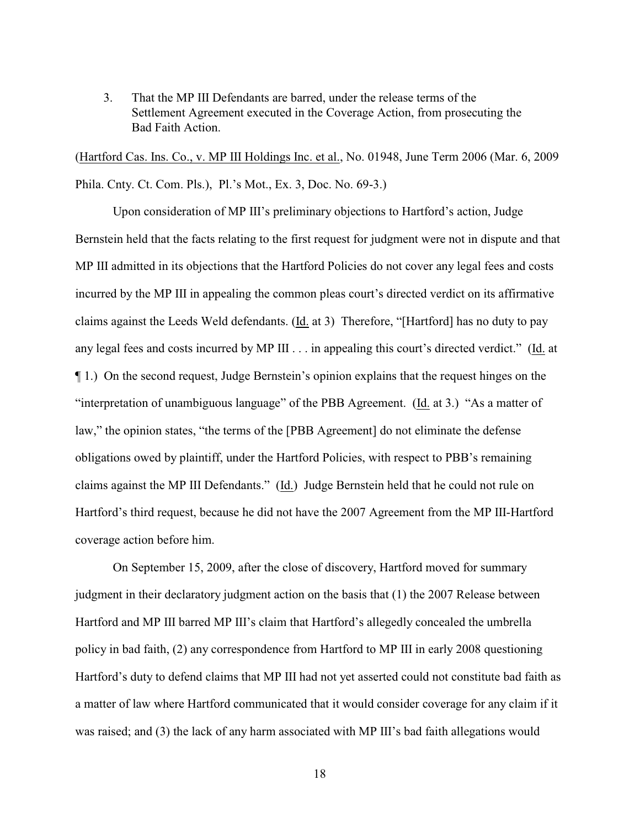3. That the MP III Defendants are barred, under the release terms of the Settlement Agreement executed in the Coverage Action, from prosecuting the Bad Faith Action.

(Hartford Cas. Ins. Co., v. MP III Holdings Inc. et al., No. 01948, June Term 2006 (Mar. 6, 2009 Phila. Cnty. Ct. Com. Pls.), Pl.'s Mot., Ex. 3, Doc. No. 69-3.)

Upon consideration of MP III's preliminary objections to Hartford's action, Judge Bernstein held that the facts relating to the first request for judgment were not in dispute and that MP III admitted in its objections that the Hartford Policies do not cover any legal fees and costs incurred by the MP III in appealing the common pleas court's directed verdict on its affirmative claims against the Leeds Weld defendants. (Id. at 3) Therefore, "[Hartford] has no duty to pay any legal fees and costs incurred by MP III . . . in appealing this court's directed verdict." (Id. at ¶ 1.) On the second request, Judge Bernstein's opinion explains that the request hinges on the "interpretation of unambiguous language" of the PBB Agreement. (Id. at 3.) "As a matter of law," the opinion states, "the terms of the [PBB Agreement] do not eliminate the defense obligations owed by plaintiff, under the Hartford Policies, with respect to PBB's remaining claims against the MP III Defendants." (Id.) Judge Bernstein held that he could not rule on Hartford's third request, because he did not have the 2007 Agreement from the MP III-Hartford coverage action before him.

On September 15, 2009, after the close of discovery, Hartford moved for summary judgment in their declaratory judgment action on the basis that (1) the 2007 Release between Hartford and MP III barred MP III's claim that Hartford's allegedly concealed the umbrella policy in bad faith, (2) any correspondence from Hartford to MP III in early 2008 questioning Hartford's duty to defend claims that MP III had not yet asserted could not constitute bad faith as a matter of law where Hartford communicated that it would consider coverage for any claim if it was raised; and (3) the lack of any harm associated with MP III's bad faith allegations would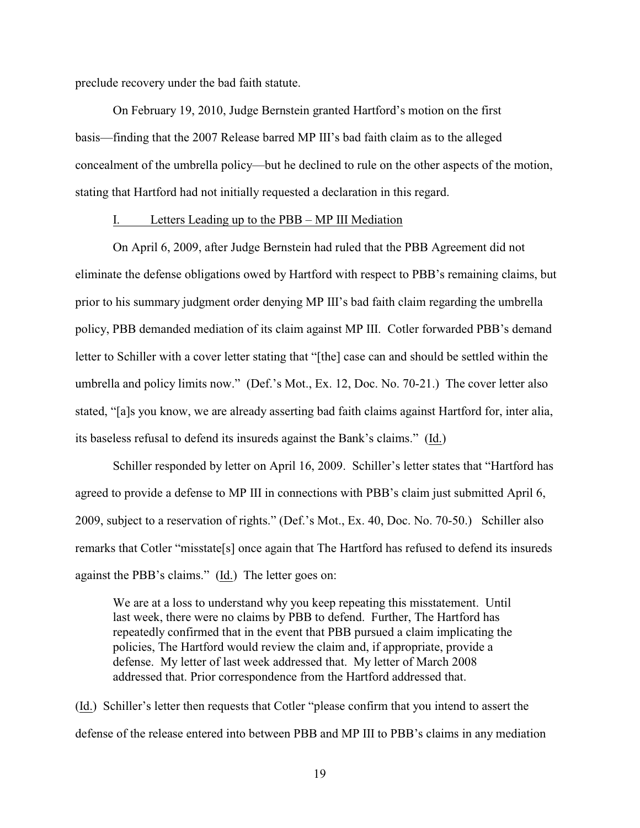preclude recovery under the bad faith statute.

On February 19, 2010, Judge Bernstein granted Hartford's motion on the first basis—finding that the 2007 Release barred MP III's bad faith claim as to the alleged concealment of the umbrella policy—but he declined to rule on the other aspects of the motion, stating that Hartford had not initially requested a declaration in this regard.

### I. Letters Leading up to the PBB – MP III Mediation

On April 6, 2009, after Judge Bernstein had ruled that the PBB Agreement did not eliminate the defense obligations owed by Hartford with respect to PBB's remaining claims, but prior to his summary judgment order denying MP III's bad faith claim regarding the umbrella policy, PBB demanded mediation of its claim against MP III. Cotler forwarded PBB's demand letter to Schiller with a cover letter stating that "[the] case can and should be settled within the umbrella and policy limits now." (Def.'s Mot., Ex. 12, Doc. No. 70-21.) The cover letter also stated, "[a]s you know, we are already asserting bad faith claims against Hartford for, inter alia, its baseless refusal to defend its insureds against the Bank's claims." (Id.)

Schiller responded by letter on April 16, 2009. Schiller's letter states that "Hartford has agreed to provide a defense to MP III in connections with PBB's claim just submitted April 6, 2009, subject to a reservation of rights." (Def.'s Mot., Ex. 40, Doc. No. 70-50.) Schiller also remarks that Cotler "misstate[s] once again that The Hartford has refused to defend its insureds against the PBB's claims." (Id.) The letter goes on:

We are at a loss to understand why you keep repeating this misstatement. Until last week, there were no claims by PBB to defend. Further, The Hartford has repeatedly confirmed that in the event that PBB pursued a claim implicating the policies, The Hartford would review the claim and, if appropriate, provide a defense. My letter of last week addressed that. My letter of March 2008 addressed that. Prior correspondence from the Hartford addressed that.

(Id.) Schiller's letter then requests that Cotler "please confirm that you intend to assert the defense of the release entered into between PBB and MP III to PBB's claims in any mediation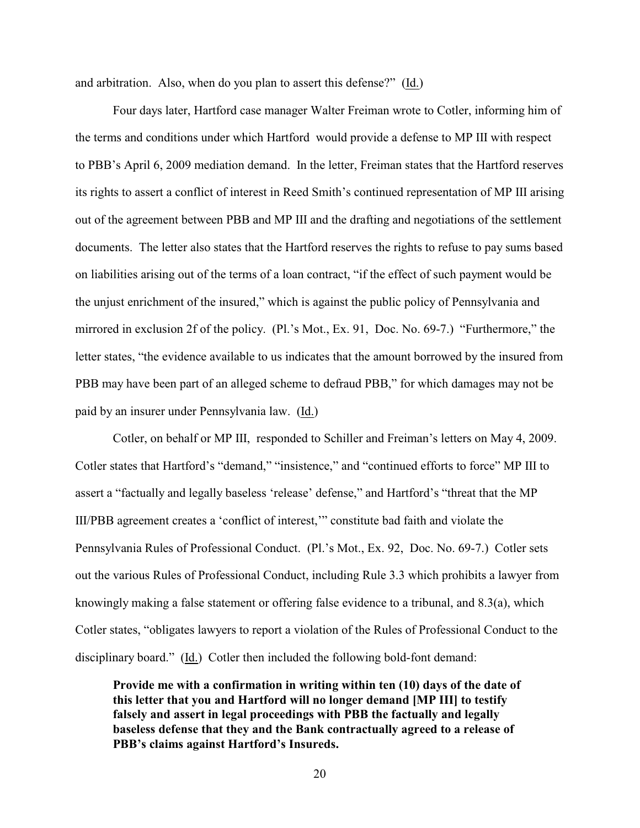and arbitration. Also, when do you plan to assert this defense?" (Id.)

Four days later, Hartford case manager Walter Freiman wrote to Cotler, informing him of the terms and conditions under which Hartford would provide a defense to MP III with respect to PBB's April 6, 2009 mediation demand. In the letter, Freiman states that the Hartford reserves its rights to assert a conflict of interest in Reed Smith's continued representation of MP III arising out of the agreement between PBB and MP III and the drafting and negotiations of the settlement documents. The letter also states that the Hartford reserves the rights to refuse to pay sums based on liabilities arising out of the terms of a loan contract, "if the effect of such payment would be the unjust enrichment of the insured," which is against the public policy of Pennsylvania and mirrored in exclusion 2f of the policy. (Pl.'s Mot., Ex. 91, Doc. No. 69-7.) "Furthermore," the letter states, "the evidence available to us indicates that the amount borrowed by the insured from PBB may have been part of an alleged scheme to defraud PBB," for which damages may not be paid by an insurer under Pennsylvania law. (Id.)

Cotler, on behalf or MP III, responded to Schiller and Freiman's letters on May 4, 2009. Cotler states that Hartford's "demand," "insistence," and "continued efforts to force" MP III to assert a "factually and legally baseless 'release' defense," and Hartford's "threat that the MP III/PBB agreement creates a 'conflict of interest,'" constitute bad faith and violate the Pennsylvania Rules of Professional Conduct. (Pl.'s Mot., Ex. 92, Doc. No. 69-7.) Cotler sets out the various Rules of Professional Conduct, including Rule 3.3 which prohibits a lawyer from knowingly making a false statement or offering false evidence to a tribunal, and 8.3(a), which Cotler states, "obligates lawyers to report a violation of the Rules of Professional Conduct to the disciplinary board." (Id.) Cotler then included the following bold-font demand:

**Provide me with a confirmation in writing within ten (10) days of the date of this letter that you and Hartford will no longer demand [MP III] to testify falsely and assert in legal proceedings with PBB the factually and legally baseless defense that they and the Bank contractually agreed to a release of PBB's claims against Hartford's Insureds.**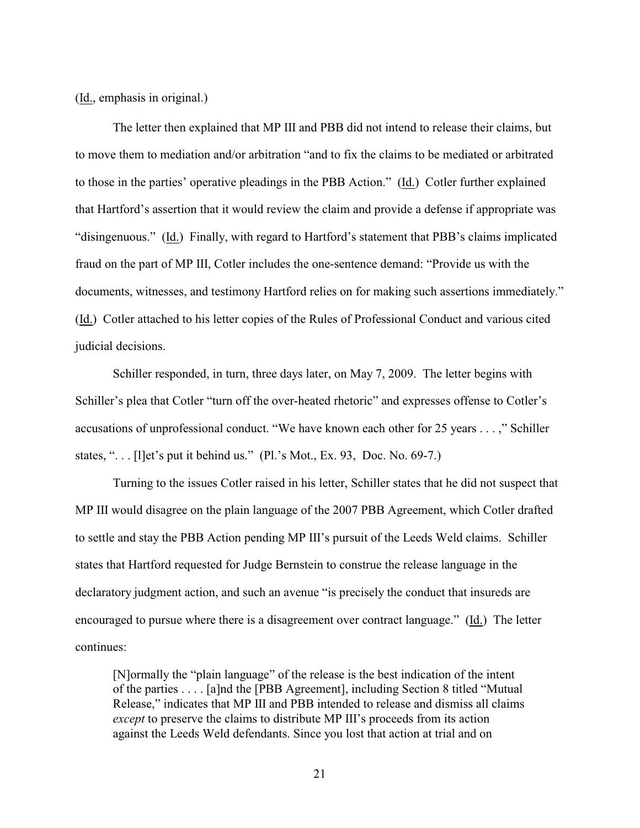(Id., emphasis in original.)

The letter then explained that MP III and PBB did not intend to release their claims, but to move them to mediation and/or arbitration "and to fix the claims to be mediated or arbitrated to those in the parties' operative pleadings in the PBB Action." (Id.) Cotler further explained that Hartford's assertion that it would review the claim and provide a defense if appropriate was "disingenuous." (Id.) Finally, with regard to Hartford's statement that PBB's claims implicated fraud on the part of MP III, Cotler includes the one-sentence demand: "Provide us with the documents, witnesses, and testimony Hartford relies on for making such assertions immediately." (Id.) Cotler attached to his letter copies of the Rules of Professional Conduct and various cited judicial decisions.

Schiller responded, in turn, three days later, on May 7, 2009. The letter begins with Schiller's plea that Cotler "turn off the over-heated rhetoric" and expresses offense to Cotler's accusations of unprofessional conduct. "We have known each other for 25 years . . . ," Schiller states, ". . . [l]et's put it behind us." (Pl.'s Mot., Ex. 93, Doc. No. 69-7.)

Turning to the issues Cotler raised in his letter, Schiller states that he did not suspect that MP III would disagree on the plain language of the 2007 PBB Agreement, which Cotler drafted to settle and stay the PBB Action pending MP III's pursuit of the Leeds Weld claims. Schiller states that Hartford requested for Judge Bernstein to construe the release language in the declaratory judgment action, and such an avenue "is precisely the conduct that insureds are encouraged to pursue where there is a disagreement over contract language." (Id.) The letter continues:

[N]ormally the "plain language" of the release is the best indication of the intent of the parties . . . . [a]nd the [PBB Agreement], including Section 8 titled "Mutual Release," indicates that MP III and PBB intended to release and dismiss all claims *except* to preserve the claims to distribute MP III's proceeds from its action against the Leeds Weld defendants. Since you lost that action at trial and on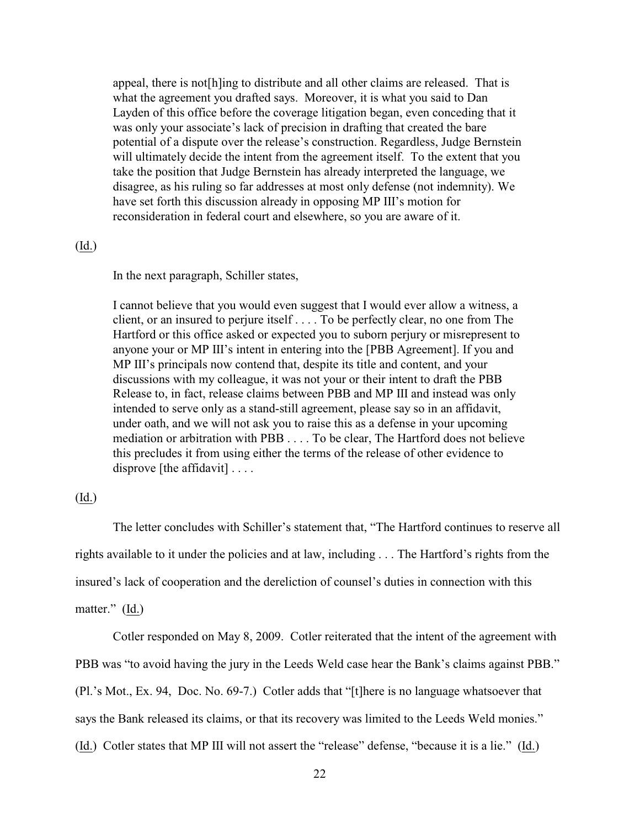appeal, there is not[h]ing to distribute and all other claims are released. That is what the agreement you drafted says. Moreover, it is what you said to Dan Layden of this office before the coverage litigation began, even conceding that it was only your associate's lack of precision in drafting that created the bare potential of a dispute over the release's construction. Regardless, Judge Bernstein will ultimately decide the intent from the agreement itself. To the extent that you take the position that Judge Bernstein has already interpreted the language, we disagree, as his ruling so far addresses at most only defense (not indemnity). We have set forth this discussion already in opposing MP III's motion for reconsideration in federal court and elsewhere, so you are aware of it.

### (Id.)

In the next paragraph, Schiller states,

I cannot believe that you would even suggest that I would ever allow a witness, a client, or an insured to perjure itself . . . . To be perfectly clear, no one from The Hartford or this office asked or expected you to suborn perjury or misrepresent to anyone your or MP III's intent in entering into the [PBB Agreement]. If you and MP III's principals now contend that, despite its title and content, and your discussions with my colleague, it was not your or their intent to draft the PBB Release to, in fact, release claims between PBB and MP III and instead was only intended to serve only as a stand-still agreement, please say so in an affidavit, under oath, and we will not ask you to raise this as a defense in your upcoming mediation or arbitration with PBB . . . . To be clear, The Hartford does not believe this precludes it from using either the terms of the release of other evidence to disprove [the affidavit] . . . .

# (Id.)

The letter concludes with Schiller's statement that, "The Hartford continues to reserve all rights available to it under the policies and at law, including . . . The Hartford's rights from the insured's lack of cooperation and the dereliction of counsel's duties in connection with this matter." (Id.)

Cotler responded on May 8, 2009. Cotler reiterated that the intent of the agreement with PBB was "to avoid having the jury in the Leeds Weld case hear the Bank's claims against PBB." (Pl.'s Mot., Ex. 94, Doc. No. 69-7.) Cotler adds that "[t]here is no language whatsoever that says the Bank released its claims, or that its recovery was limited to the Leeds Weld monies." (Id.) Cotler states that MP III will not assert the "release" defense, "because it is a lie." (Id.)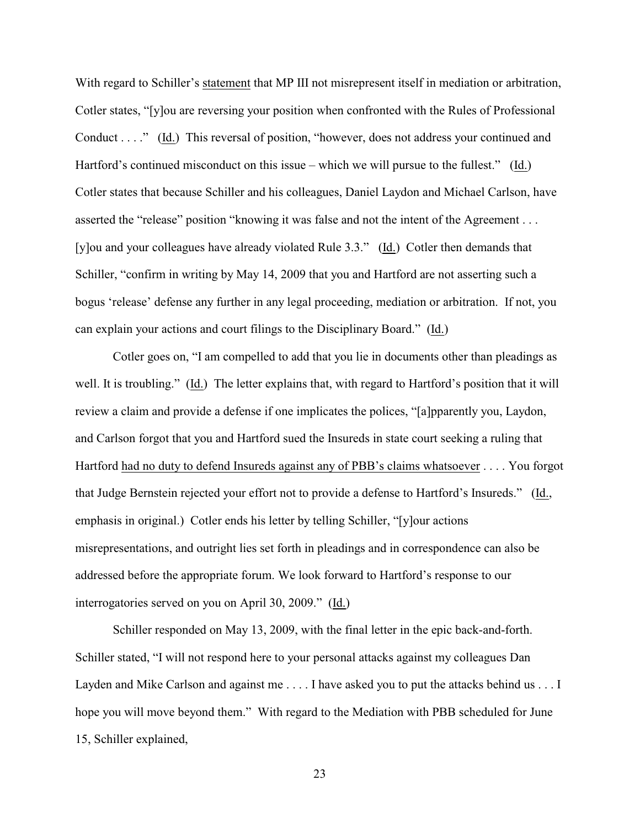With regard to Schiller's statement that MP III not misrepresent itself in mediation or arbitration, Cotler states, "[y]ou are reversing your position when confronted with the Rules of Professional Conduct . . . ." (Id.) This reversal of position, "however, does not address your continued and Hartford's continued misconduct on this issue – which we will pursue to the fullest." (Id.) Cotler states that because Schiller and his colleagues, Daniel Laydon and Michael Carlson, have asserted the "release" position "knowing it was false and not the intent of the Agreement . . . [y]ou and your colleagues have already violated Rule 3.3." (Id.) Cotler then demands that Schiller, "confirm in writing by May 14, 2009 that you and Hartford are not asserting such a bogus 'release' defense any further in any legal proceeding, mediation or arbitration. If not, you can explain your actions and court filings to the Disciplinary Board." (Id.)

Cotler goes on, "I am compelled to add that you lie in documents other than pleadings as well. It is troubling." (Id.) The letter explains that, with regard to Hartford's position that it will review a claim and provide a defense if one implicates the polices, "[a]pparently you, Laydon, and Carlson forgot that you and Hartford sued the Insureds in state court seeking a ruling that Hartford had no duty to defend Insureds against any of PBB's claims whatsoever . . . . You forgot that Judge Bernstein rejected your effort not to provide a defense to Hartford's Insureds." (Id., emphasis in original.) Cotler ends his letter by telling Schiller, "[y]our actions misrepresentations, and outright lies set forth in pleadings and in correspondence can also be addressed before the appropriate forum. We look forward to Hartford's response to our interrogatories served on you on April 30, 2009." (Id.)

Schiller responded on May 13, 2009, with the final letter in the epic back-and-forth. Schiller stated, "I will not respond here to your personal attacks against my colleagues Dan Layden and Mike Carlson and against me . . . . I have asked you to put the attacks behind us . . . I hope you will move beyond them." With regard to the Mediation with PBB scheduled for June 15, Schiller explained,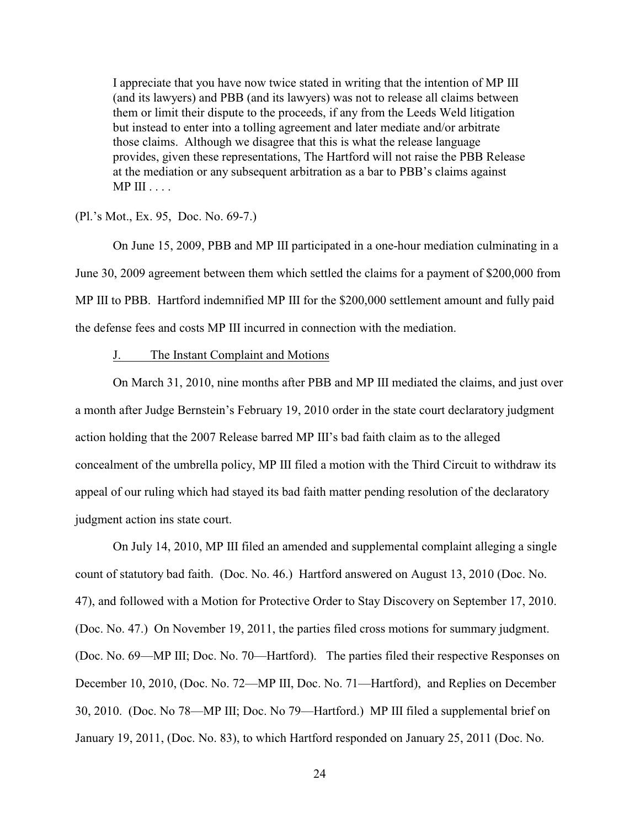I appreciate that you have now twice stated in writing that the intention of MP III (and its lawyers) and PBB (and its lawyers) was not to release all claims between them or limit their dispute to the proceeds, if any from the Leeds Weld litigation but instead to enter into a tolling agreement and later mediate and/or arbitrate those claims. Although we disagree that this is what the release language provides, given these representations, The Hartford will not raise the PBB Release at the mediation or any subsequent arbitration as a bar to PBB's claims against  $MP III \ldots$ 

(Pl.'s Mot., Ex. 95, Doc. No. 69-7.)

On June 15, 2009, PBB and MP III participated in a one-hour mediation culminating in a June 30, 2009 agreement between them which settled the claims for a payment of \$200,000 from MP III to PBB. Hartford indemnified MP III for the \$200,000 settlement amount and fully paid the defense fees and costs MP III incurred in connection with the mediation.

#### J. The Instant Complaint and Motions

On March 31, 2010, nine months after PBB and MP III mediated the claims, and just over a month after Judge Bernstein's February 19, 2010 order in the state court declaratory judgment action holding that the 2007 Release barred MP III's bad faith claim as to the alleged concealment of the umbrella policy, MP III filed a motion with the Third Circuit to withdraw its appeal of our ruling which had stayed its bad faith matter pending resolution of the declaratory judgment action ins state court.

On July 14, 2010, MP III filed an amended and supplemental complaint alleging a single count of statutory bad faith. (Doc. No. 46.) Hartford answered on August 13, 2010 (Doc. No. 47), and followed with a Motion for Protective Order to Stay Discovery on September 17, 2010. (Doc. No. 47.) On November 19, 2011, the parties filed cross motions for summary judgment. (Doc. No. 69—MP III; Doc. No. 70—Hartford). The parties filed their respective Responses on December 10, 2010, (Doc. No. 72—MP III, Doc. No. 71—Hartford), and Replies on December 30, 2010. (Doc. No 78—MP III; Doc. No 79—Hartford.) MP III filed a supplemental brief on January 19, 2011, (Doc. No. 83), to which Hartford responded on January 25, 2011 (Doc. No.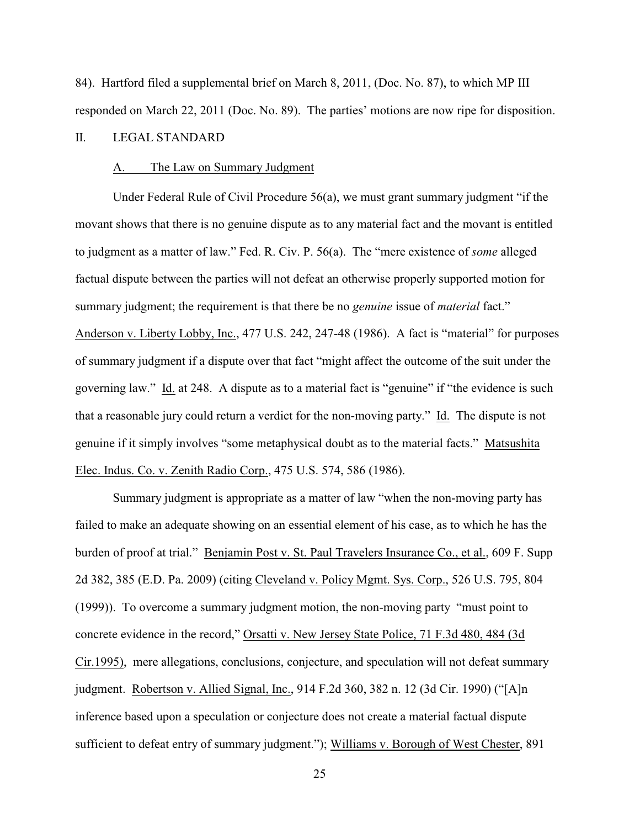84). Hartford filed a supplemental brief on March 8, 2011, (Doc. No. 87), to which MP III responded on March 22, 2011 (Doc. No. 89). The parties' motions are now ripe for disposition.

# II. LEGAL STANDARD

### A. The Law on Summary Judgment

Under Federal Rule of Civil Procedure 56(a), we must grant summary judgment "if the movant shows that there is no genuine dispute as to any material fact and the movant is entitled to judgment as a matter of law." Fed. R. Civ. P. 56(a). The "mere existence of *some* alleged factual dispute between the parties will not defeat an otherwise properly supported motion for summary judgment; the requirement is that there be no *genuine* issue of *material* fact." Anderson v. Liberty Lobby, Inc., 477 U.S. 242, 247-48 (1986). A fact is "material" for purposes of summary judgment if a dispute over that fact "might affect the outcome of the suit under the governing law." Id. at 248. A dispute as to a material fact is "genuine" if "the evidence is such that a reasonable jury could return a verdict for the non-moving party." Id. The dispute is not genuine if it simply involves "some metaphysical doubt as to the material facts." Matsushita Elec. Indus. Co. v. Zenith Radio Corp., 475 U.S. 574, 586 (1986).

Summary judgment is appropriate as a matter of law "when the non-moving party has failed to make an adequate showing on an essential element of his case, as to which he has the burden of proof at trial." Benjamin Post v. St. Paul Travelers Insurance Co., et al., 609 F. Supp 2d 382, 385 (E.D. Pa. 2009) (citing Cleveland v. Policy Mgmt. Sys. Corp., 526 U.S. 795, 804 (1999)). To overcome a summary judgment motion, the non-moving party "must point to concrete evidence in the record," Orsatti v. New Jersey State Police, 71 F.3d 480, 484 (3d Cir.1995), mere allegations, conclusions, conjecture, and speculation will not defeat summary judgment. Robertson v. Allied Signal, Inc., 914 F.2d 360, 382 n. 12 (3d Cir. 1990) ("[A]n inference based upon a speculation or conjecture does not create a material factual dispute sufficient to defeat entry of summary judgment."); Williams v. Borough of West Chester, 891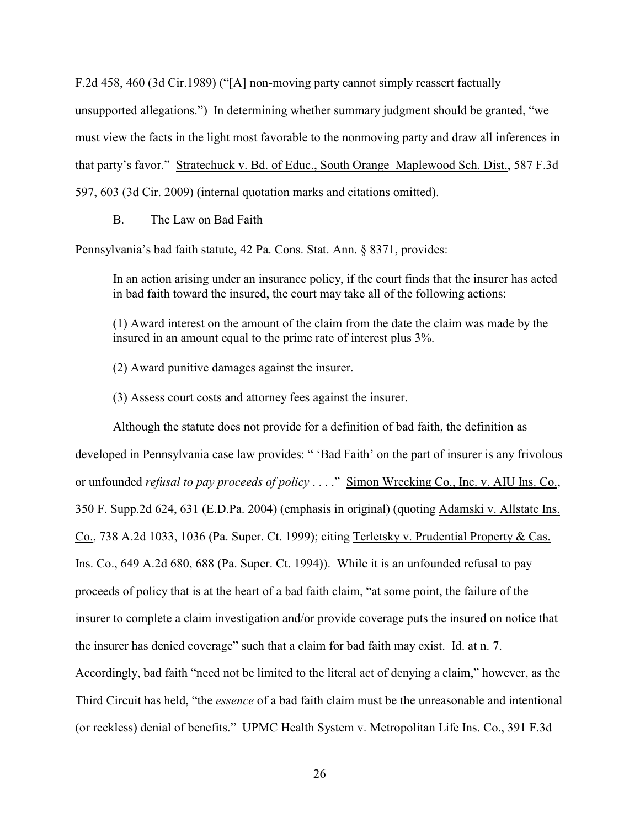F.2d 458, 460 (3d Cir.1989) ("[A] non-moving party cannot simply reassert factually

unsupported allegations.") In determining whether summary judgment should be granted, "we must view the facts in the light most favorable to the nonmoving party and draw all inferences in that party's favor." Stratechuck v. Bd. of Educ., South Orange–Maplewood Sch. Dist., 587 F.3d 597, 603 (3d Cir. 2009) (internal quotation marks and citations omitted).

# B. The Law on Bad Faith

Pennsylvania's bad faith statute, 42 Pa. Cons. Stat. Ann. § 8371, provides:

In an action arising under an insurance policy, if the court finds that the insurer has acted in bad faith toward the insured, the court may take all of the following actions:

(1) Award interest on the amount of the claim from the date the claim was made by the insured in an amount equal to the prime rate of interest plus 3%.

(2) Award punitive damages against the insurer.

(3) Assess court costs and attorney fees against the insurer.

Although the statute does not provide for a definition of bad faith, the definition as developed in Pennsylvania case law provides: " 'Bad Faith' on the part of insurer is any frivolous or unfounded *refusal to pay proceeds of policy* . . . ." Simon Wrecking Co., Inc. v. AIU Ins. Co., 350 F. Supp.2d 624, 631 (E.D.Pa. 2004) (emphasis in original) (quoting Adamski v. Allstate Ins. Co., 738 A.2d 1033, 1036 (Pa. Super. Ct. 1999); citing Terletsky v. Prudential Property & Cas. Ins. Co., 649 A.2d 680, 688 (Pa. Super. Ct. 1994)). While it is an unfounded refusal to pay proceeds of policy that is at the heart of a bad faith claim, "at some point, the failure of the insurer to complete a claim investigation and/or provide coverage puts the insured on notice that the insurer has denied coverage" such that a claim for bad faith may exist. Id. at n. 7. Accordingly, bad faith "need not be limited to the literal act of denying a claim," however, as the Third Circuit has held, "the *essence* of a bad faith claim must be the unreasonable and intentional (or reckless) denial of benefits." UPMC Health System v. Metropolitan Life Ins. Co., 391 F.3d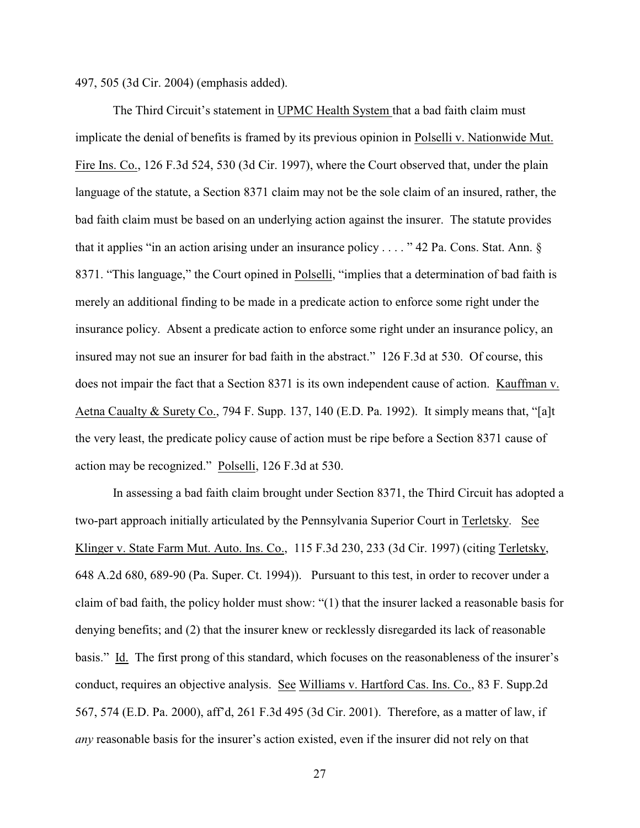497, 505 (3d Cir. 2004) (emphasis added).

The Third Circuit's statement in UPMC Health System that a bad faith claim must implicate the denial of benefits is framed by its previous opinion in Polselli v. Nationwide Mut. Fire Ins. Co., 126 F.3d 524, 530 (3d Cir. 1997), where the Court observed that, under the plain language of the statute, a Section 8371 claim may not be the sole claim of an insured, rather, the bad faith claim must be based on an underlying action against the insurer. The statute provides that it applies "in an action arising under an insurance policy . . . . " 42 Pa. Cons. Stat. Ann. § 8371. "This language," the Court opined in Polselli, "implies that a determination of bad faith is merely an additional finding to be made in a predicate action to enforce some right under the insurance policy. Absent a predicate action to enforce some right under an insurance policy, an insured may not sue an insurer for bad faith in the abstract." 126 F.3d at 530. Of course, this does not impair the fact that a Section 8371 is its own independent cause of action. Kauffman v. Aetna Caualty & Surety Co., 794 F. Supp. 137, 140 (E.D. Pa. 1992). It simply means that, "[a]t the very least, the predicate policy cause of action must be ripe before a Section 8371 cause of action may be recognized." Polselli, 126 F.3d at 530.

In assessing a bad faith claim brought under Section 8371, the Third Circuit has adopted a two-part approach initially articulated by the Pennsylvania Superior Court in Terletsky. See Klinger v. State Farm Mut. Auto. Ins. Co., 115 F.3d 230, 233 (3d Cir. 1997) (citing Terletsky, 648 A.2d 680, 689-90 (Pa. Super. Ct. 1994)). Pursuant to this test, in order to recover under a claim of bad faith, the policy holder must show: "(1) that the insurer lacked a reasonable basis for denying benefits; and (2) that the insurer knew or recklessly disregarded its lack of reasonable basis." Id. The first prong of this standard, which focuses on the reasonableness of the insurer's conduct, requires an objective analysis. See Williams v. Hartford Cas. Ins. Co., 83 F. Supp.2d 567, 574 (E.D. Pa. 2000), aff'd, 261 F.3d 495 (3d Cir. 2001). Therefore, as a matter of law, if *any* reasonable basis for the insurer's action existed, even if the insurer did not rely on that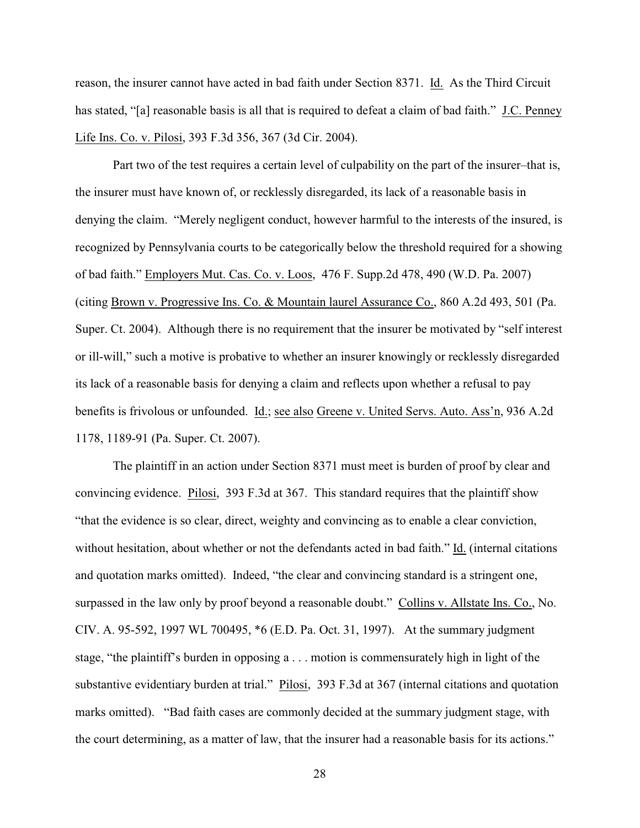reason, the insurer cannot have acted in bad faith under Section 8371. Id. As the Third Circuit has stated, "[a] reasonable basis is all that is required to defeat a claim of bad faith." J.C. Penney Life Ins. Co. v. Pilosi, 393 F.3d 356, 367 (3d Cir. 2004).

Part two of the test requires a certain level of culpability on the part of the insurer–that is, the insurer must have known of, or recklessly disregarded, its lack of a reasonable basis in denying the claim. "Merely negligent conduct, however harmful to the interests of the insured, is recognized by Pennsylvania courts to be categorically below the threshold required for a showing of bad faith." Employers Mut. Cas. Co. v. Loos, 476 F. Supp.2d 478, 490 (W.D. Pa. 2007) (citing Brown v. Progressive Ins. Co. & Mountain laurel Assurance Co., 860 A.2d 493, 501 (Pa. Super. Ct. 2004). Although there is no requirement that the insurer be motivated by "self interest or ill-will," such a motive is probative to whether an insurer knowingly or recklessly disregarded its lack of a reasonable basis for denying a claim and reflects upon whether a refusal to pay benefits is frivolous or unfounded. Id.; see also Greene v. United Servs. Auto. Ass'n, 936 A.2d 1178, 1189-91 (Pa. Super. Ct. 2007).

The plaintiff in an action under Section 8371 must meet is burden of proof by clear and convincing evidence. Pilosi, 393 F.3d at 367. This standard requires that the plaintiff show "that the evidence is so clear, direct, weighty and convincing as to enable a clear conviction, without hesitation, about whether or not the defendants acted in bad faith." Id. (internal citations and quotation marks omitted). Indeed, "the clear and convincing standard is a stringent one, surpassed in the law only by proof beyond a reasonable doubt." Collins v. Allstate Ins. Co., No. CIV. A. 95-592, 1997 WL 700495, \*6 (E.D. Pa. Oct. 31, 1997). At the summary judgment stage, "the plaintiff's burden in opposing a . . . motion is commensurately high in light of the substantive evidentiary burden at trial." Pilosi, 393 F.3d at 367 (internal citations and quotation marks omitted). "Bad faith cases are commonly decided at the summary judgment stage, with the court determining, as a matter of law, that the insurer had a reasonable basis for its actions."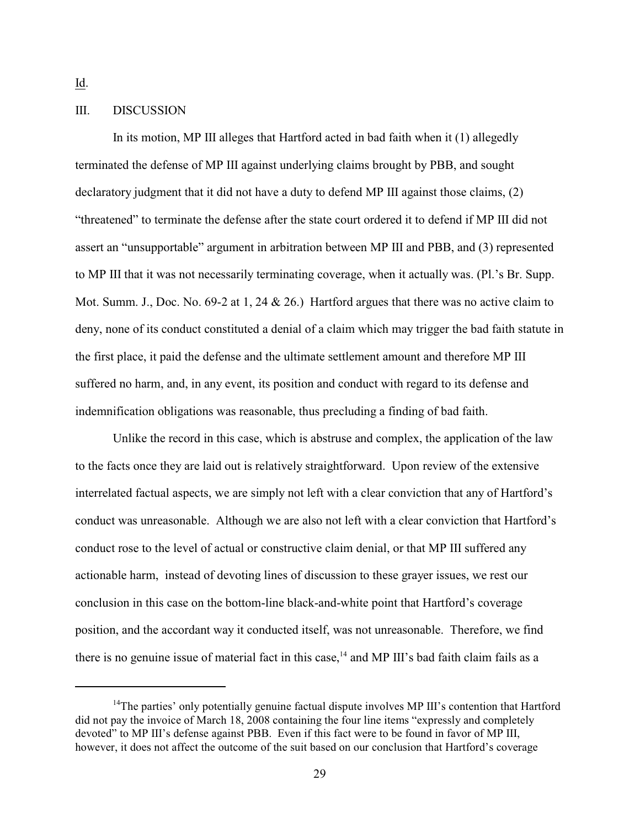Id.

# III. DISCUSSION

In its motion, MP III alleges that Hartford acted in bad faith when it (1) allegedly terminated the defense of MP III against underlying claims brought by PBB, and sought declaratory judgment that it did not have a duty to defend MP III against those claims, (2) "threatened" to terminate the defense after the state court ordered it to defend if MP III did not assert an "unsupportable" argument in arbitration between MP III and PBB, and (3) represented to MP III that it was not necessarily terminating coverage, when it actually was. (Pl.'s Br. Supp. Mot. Summ. J., Doc. No. 69-2 at 1, 24 & 26.) Hartford argues that there was no active claim to deny, none of its conduct constituted a denial of a claim which may trigger the bad faith statute in the first place, it paid the defense and the ultimate settlement amount and therefore MP III suffered no harm, and, in any event, its position and conduct with regard to its defense and indemnification obligations was reasonable, thus precluding a finding of bad faith.

Unlike the record in this case, which is abstruse and complex, the application of the law to the facts once they are laid out is relatively straightforward. Upon review of the extensive interrelated factual aspects, we are simply not left with a clear conviction that any of Hartford's conduct was unreasonable. Although we are also not left with a clear conviction that Hartford's conduct rose to the level of actual or constructive claim denial, or that MP III suffered any actionable harm, instead of devoting lines of discussion to these grayer issues, we rest our conclusion in this case on the bottom-line black-and-white point that Hartford's coverage position, and the accordant way it conducted itself, was not unreasonable. Therefore, we find there is no genuine issue of material fact in this case,<sup> $14$ </sup> and MP III's bad faith claim fails as a

<sup>&</sup>lt;sup>14</sup>The parties' only potentially genuine factual dispute involves MP III's contention that Hartford did not pay the invoice of March 18, 2008 containing the four line items "expressly and completely devoted" to MP III's defense against PBB. Even if this fact were to be found in favor of MP III, however, it does not affect the outcome of the suit based on our conclusion that Hartford's coverage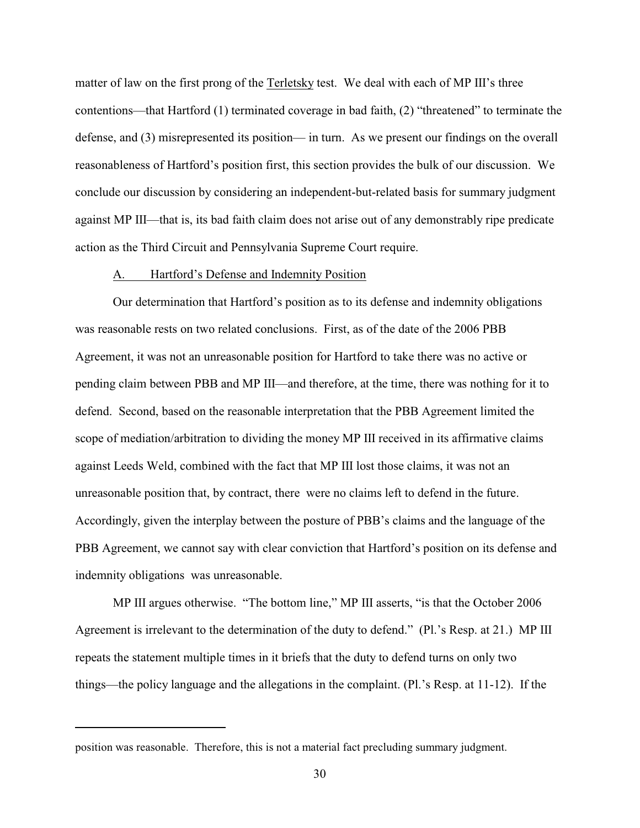matter of law on the first prong of the Terletsky test. We deal with each of MP III's three contentions—that Hartford (1) terminated coverage in bad faith, (2) "threatened" to terminate the defense, and (3) misrepresented its position— in turn. As we present our findings on the overall reasonableness of Hartford's position first, this section provides the bulk of our discussion. We conclude our discussion by considering an independent-but-related basis for summary judgment against MP III—that is, its bad faith claim does not arise out of any demonstrably ripe predicate action as the Third Circuit and Pennsylvania Supreme Court require.

### A. Hartford's Defense and Indemnity Position

Our determination that Hartford's position as to its defense and indemnity obligations was reasonable rests on two related conclusions. First, as of the date of the 2006 PBB Agreement, it was not an unreasonable position for Hartford to take there was no active or pending claim between PBB and MP III—and therefore, at the time, there was nothing for it to defend. Second, based on the reasonable interpretation that the PBB Agreement limited the scope of mediation/arbitration to dividing the money MP III received in its affirmative claims against Leeds Weld, combined with the fact that MP III lost those claims, it was not an unreasonable position that, by contract, there were no claims left to defend in the future. Accordingly, given the interplay between the posture of PBB's claims and the language of the PBB Agreement, we cannot say with clear conviction that Hartford's position on its defense and indemnity obligations was unreasonable.

MP III argues otherwise. "The bottom line," MP III asserts, "is that the October 2006 Agreement is irrelevant to the determination of the duty to defend." (Pl.'s Resp. at 21.) MP III repeats the statement multiple times in it briefs that the duty to defend turns on only two things—the policy language and the allegations in the complaint. (Pl.'s Resp. at 11-12). If the

position was reasonable. Therefore, this is not a material fact precluding summary judgment.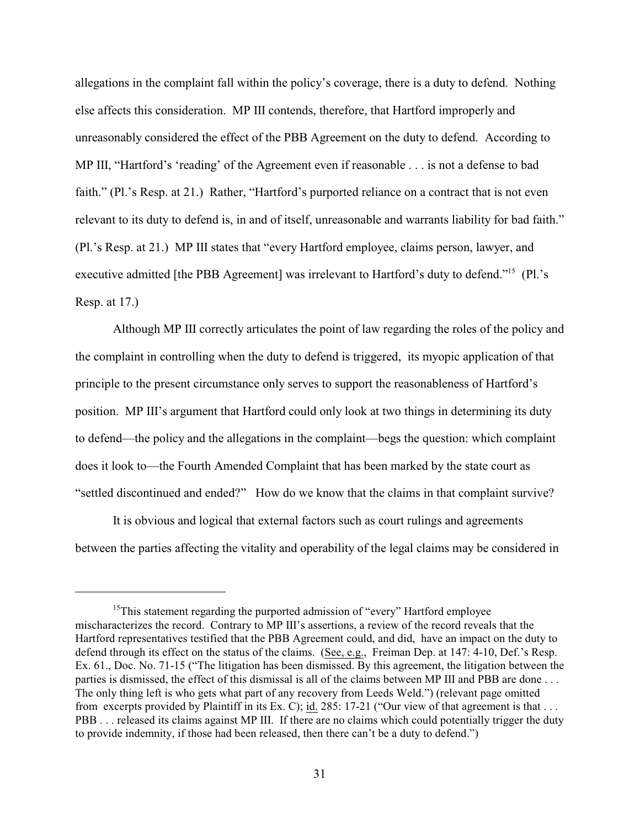allegations in the complaint fall within the policy's coverage, there is a duty to defend. Nothing else affects this consideration. MP III contends, therefore, that Hartford improperly and unreasonably considered the effect of the PBB Agreement on the duty to defend. According to MP III, "Hartford's 'reading' of the Agreement even if reasonable . . . is not a defense to bad faith." (Pl.'s Resp. at 21.) Rather, "Hartford's purported reliance on a contract that is not even relevant to its duty to defend is, in and of itself, unreasonable and warrants liability for bad faith." (Pl.'s Resp. at 21.) MP III states that "every Hartford employee, claims person, lawyer, and executive admitted [the PBB Agreement] was irrelevant to Hartford's duty to defend."<sup>15</sup> (Pl.'s Resp. at 17.)

Although MP III correctly articulates the point of law regarding the roles of the policy and the complaint in controlling when the duty to defend is triggered, its myopic application of that principle to the present circumstance only serves to support the reasonableness of Hartford's position. MP III's argument that Hartford could only look at two things in determining its duty to defend—the policy and the allegations in the complaint—begs the question: which complaint does it look to—the Fourth Amended Complaint that has been marked by the state court as "settled discontinued and ended?" How do we know that the claims in that complaint survive?

It is obvious and logical that external factors such as court rulings and agreements between the parties affecting the vitality and operability of the legal claims may be considered in

 $15$ This statement regarding the purported admission of "every" Hartford employee mischaracterizes the record. Contrary to MP III's assertions, a review of the record reveals that the Hartford representatives testified that the PBB Agreement could, and did, have an impact on the duty to defend through its effect on the status of the claims. (See, e.g., Freiman Dep. at 147: 4-10, Def.'s Resp. Ex. 61., Doc. No. 71-15 ("The litigation has been dismissed. By this agreement, the litigation between the parties is dismissed, the effect of this dismissal is all of the claims between MP III and PBB are done . . . The only thing left is who gets what part of any recovery from Leeds Weld.") (relevant page omitted from excerpts provided by Plaintiff in its Ex. C); id. 285: 17-21 ("Our view of that agreement is that . . . PBB . . . released its claims against MP III. If there are no claims which could potentially trigger the duty to provide indemnity, if those had been released, then there can't be a duty to defend.")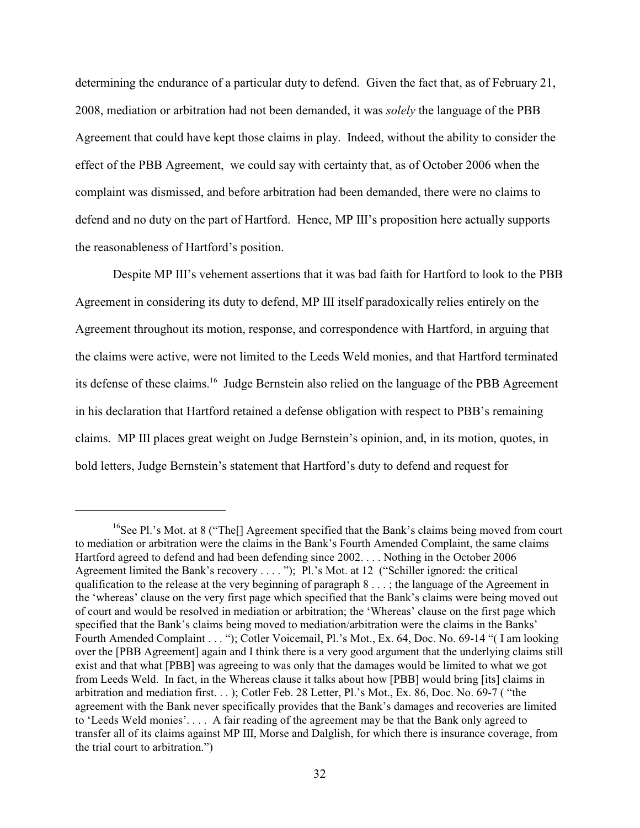determining the endurance of a particular duty to defend. Given the fact that, as of February 21, 2008, mediation or arbitration had not been demanded, it was *solely* the language of the PBB Agreement that could have kept those claims in play. Indeed, without the ability to consider the effect of the PBB Agreement, we could say with certainty that, as of October 2006 when the complaint was dismissed, and before arbitration had been demanded, there were no claims to defend and no duty on the part of Hartford. Hence, MP III's proposition here actually supports the reasonableness of Hartford's position.

Despite MP III's vehement assertions that it was bad faith for Hartford to look to the PBB Agreement in considering its duty to defend, MP III itself paradoxically relies entirely on the Agreement throughout its motion, response, and correspondence with Hartford, in arguing that the claims were active, were not limited to the Leeds Weld monies, and that Hartford terminated its defense of these claims.<sup>16</sup> Judge Bernstein also relied on the language of the PBB Agreement in his declaration that Hartford retained a defense obligation with respect to PBB's remaining claims. MP III places great weight on Judge Bernstein's opinion, and, in its motion, quotes, in bold letters, Judge Bernstein's statement that Hartford's duty to defend and request for

<sup>&</sup>lt;sup>16</sup>See Pl.'s Mot. at 8 ("The<sup>[]</sup> Agreement specified that the Bank's claims being moved from court to mediation or arbitration were the claims in the Bank's Fourth Amended Complaint, the same claims Hartford agreed to defend and had been defending since 2002. . . . Nothing in the October 2006 Agreement limited the Bank's recovery . . . . "); Pl.'s Mot. at 12 ("Schiller ignored: the critical qualification to the release at the very beginning of paragraph  $8 \ldots$ ; the language of the Agreement in the 'whereas' clause on the very first page which specified that the Bank's claims were being moved out of court and would be resolved in mediation or arbitration; the 'Whereas' clause on the first page which specified that the Bank's claims being moved to mediation/arbitration were the claims in the Banks' Fourth Amended Complaint . . . "); Cotler Voicemail, Pl.'s Mot., Ex. 64, Doc. No. 69-14 "( I am looking over the [PBB Agreement] again and I think there is a very good argument that the underlying claims still exist and that what [PBB] was agreeing to was only that the damages would be limited to what we got from Leeds Weld. In fact, in the Whereas clause it talks about how [PBB] would bring [its] claims in arbitration and mediation first. . . ); Cotler Feb. 28 Letter, Pl.'s Mot., Ex. 86, Doc. No. 69-7 ( "the agreement with the Bank never specifically provides that the Bank's damages and recoveries are limited to 'Leeds Weld monies'. . . . A fair reading of the agreement may be that the Bank only agreed to transfer all of its claims against MP III, Morse and Dalglish, for which there is insurance coverage, from the trial court to arbitration.")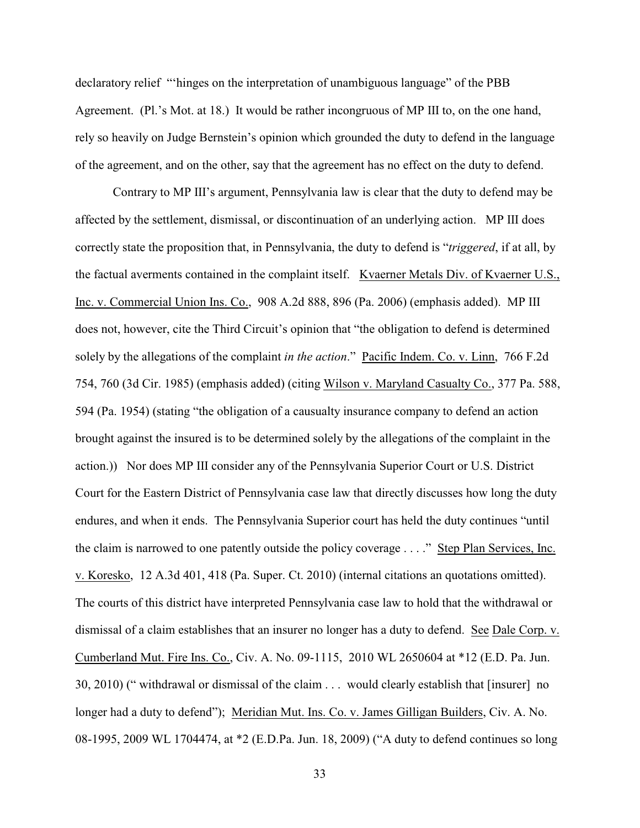declaratory relief "'hinges on the interpretation of unambiguous language" of the PBB Agreement. (Pl.'s Mot. at 18.) It would be rather incongruous of MP III to, on the one hand, rely so heavily on Judge Bernstein's opinion which grounded the duty to defend in the language of the agreement, and on the other, say that the agreement has no effect on the duty to defend.

Contrary to MP III's argument, Pennsylvania law is clear that the duty to defend may be affected by the settlement, dismissal, or discontinuation of an underlying action. MP III does correctly state the proposition that, in Pennsylvania, the duty to defend is "*triggered*, if at all, by the factual averments contained in the complaint itself. Kvaerner Metals Div. of Kvaerner U.S., Inc. v. Commercial Union Ins. Co., 908 A.2d 888, 896 (Pa. 2006) (emphasis added). MP III does not, however, cite the Third Circuit's opinion that "the obligation to defend is determined solely by the allegations of the complaint *in the action*." Pacific Indem. Co. v. Linn, 766 F.2d 754, 760 (3d Cir. 1985) (emphasis added) (citing Wilson v. Maryland Casualty Co., 377 Pa. 588, 594 (Pa. 1954) (stating "the obligation of a causualty insurance company to defend an action brought against the insured is to be determined solely by the allegations of the complaint in the action.)) Nor does MP III consider any of the Pennsylvania Superior Court or U.S. District Court for the Eastern District of Pennsylvania case law that directly discusses how long the duty endures, and when it ends. The Pennsylvania Superior court has held the duty continues "until the claim is narrowed to one patently outside the policy coverage . . . ." Step Plan Services, Inc. v. Koresko, 12 A.3d 401, 418 (Pa. Super. Ct. 2010) (internal citations an quotations omitted). The courts of this district have interpreted Pennsylvania case law to hold that the withdrawal or dismissal of a claim establishes that an insurer no longer has a duty to defend. See Dale Corp. v. Cumberland Mut. Fire Ins. Co., Civ. A. No. 09-1115, 2010 WL 2650604 at \*12 (E.D. Pa. Jun. 30, 2010) (" withdrawal or dismissal of the claim . . . would clearly establish that [insurer] no longer had a duty to defend"); Meridian Mut. Ins. Co. v. James Gilligan Builders, Civ. A. No. 08-1995, 2009 WL 1704474, at \*2 (E.D.Pa. Jun. 18, 2009) ("A duty to defend continues so long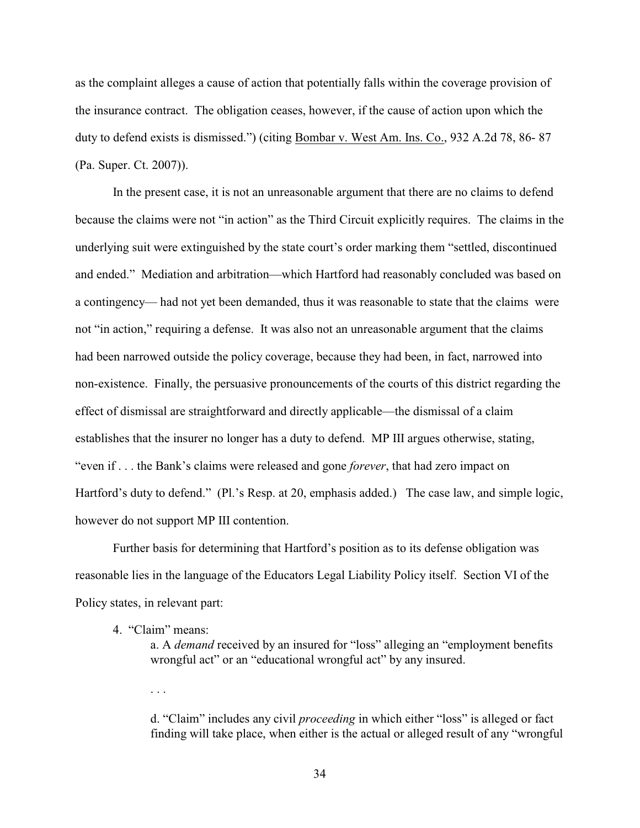as the complaint alleges a cause of action that potentially falls within the coverage provision of the insurance contract. The obligation ceases, however, if the cause of action upon which the duty to defend exists is dismissed.") (citing Bombar v. West Am. Ins. Co., 932 A.2d 78, 86- 87 (Pa. Super. Ct. 2007)).

In the present case, it is not an unreasonable argument that there are no claims to defend because the claims were not "in action" as the Third Circuit explicitly requires. The claims in the underlying suit were extinguished by the state court's order marking them "settled, discontinued and ended." Mediation and arbitration—which Hartford had reasonably concluded was based on a contingency— had not yet been demanded, thus it was reasonable to state that the claims were not "in action," requiring a defense. It was also not an unreasonable argument that the claims had been narrowed outside the policy coverage, because they had been, in fact, narrowed into non-existence. Finally, the persuasive pronouncements of the courts of this district regarding the effect of dismissal are straightforward and directly applicable—the dismissal of a claim establishes that the insurer no longer has a duty to defend. MP III argues otherwise, stating, "even if . . . the Bank's claims were released and gone *forever*, that had zero impact on Hartford's duty to defend." (Pl.'s Resp. at 20, emphasis added.) The case law, and simple logic, however do not support MP III contention.

Further basis for determining that Hartford's position as to its defense obligation was reasonable lies in the language of the Educators Legal Liability Policy itself. Section VI of the Policy states, in relevant part:

4. "Claim" means:

a. A *demand* received by an insured for "loss" alleging an "employment benefits wrongful act" or an "educational wrongful act" by any insured.

. . .

d. "Claim" includes any civil *proceeding* in which either "loss" is alleged or fact finding will take place, when either is the actual or alleged result of any "wrongful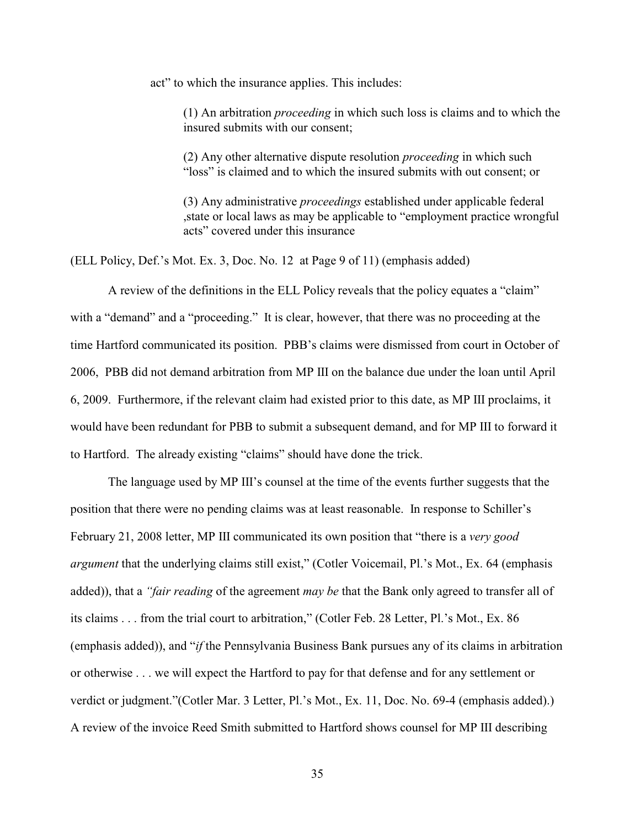act" to which the insurance applies. This includes:

(1) An arbitration *proceeding* in which such loss is claims and to which the insured submits with our consent;

(2) Any other alternative dispute resolution *proceeding* in which such "loss" is claimed and to which the insured submits with out consent; or

(3) Any administrative *proceedings* established under applicable federal ,state or local laws as may be applicable to "employment practice wrongful acts" covered under this insurance

(ELL Policy, Def.'s Mot. Ex. 3, Doc. No. 12 at Page 9 of 11) (emphasis added)

A review of the definitions in the ELL Policy reveals that the policy equates a "claim" with a "demand" and a "proceeding." It is clear, however, that there was no proceeding at the time Hartford communicated its position. PBB's claims were dismissed from court in October of 2006, PBB did not demand arbitration from MP III on the balance due under the loan until April 6, 2009. Furthermore, if the relevant claim had existed prior to this date, as MP III proclaims, it would have been redundant for PBB to submit a subsequent demand, and for MP III to forward it to Hartford. The already existing "claims" should have done the trick.

The language used by MP III's counsel at the time of the events further suggests that the position that there were no pending claims was at least reasonable. In response to Schiller's February 21, 2008 letter, MP III communicated its own position that "there is a *very good argument* that the underlying claims still exist," (Cotler Voicemail, Pl.'s Mot., Ex. 64 (emphasis added)), that a *"fair reading* of the agreement *may be* that the Bank only agreed to transfer all of its claims . . . from the trial court to arbitration," (Cotler Feb. 28 Letter, Pl.'s Mot., Ex. 86 (emphasis added)), and "*if* the Pennsylvania Business Bank pursues any of its claims in arbitration or otherwise . . . we will expect the Hartford to pay for that defense and for any settlement or verdict or judgment."(Cotler Mar. 3 Letter, Pl.'s Mot., Ex. 11, Doc. No. 69-4 (emphasis added).) A review of the invoice Reed Smith submitted to Hartford shows counsel for MP III describing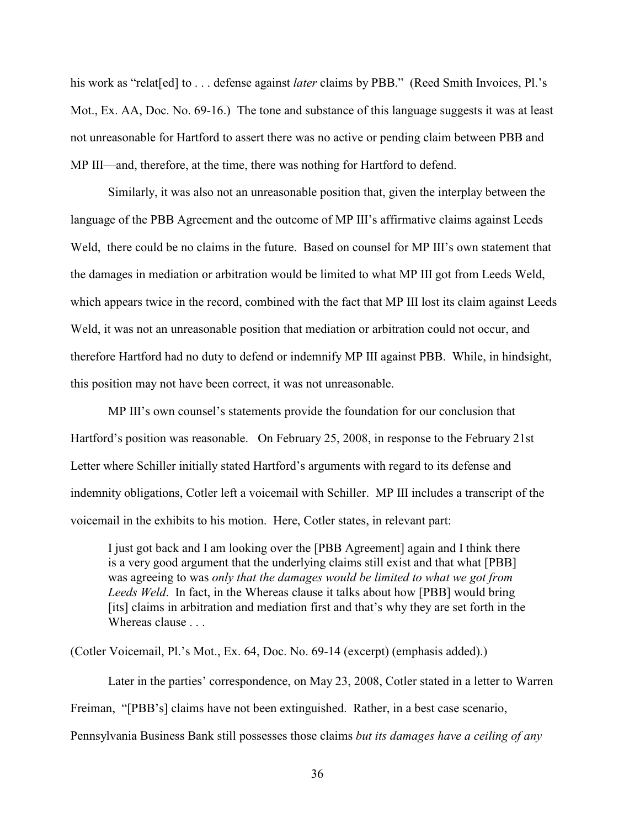his work as "relat<sup>[ed]</sup> to . . . defense against *later* claims by PBB." (Reed Smith Invoices, Pl.'s Mot., Ex. AA, Doc. No. 69-16.) The tone and substance of this language suggests it was at least not unreasonable for Hartford to assert there was no active or pending claim between PBB and MP III—and, therefore, at the time, there was nothing for Hartford to defend.

Similarly, it was also not an unreasonable position that, given the interplay between the language of the PBB Agreement and the outcome of MP III's affirmative claims against Leeds Weld, there could be no claims in the future. Based on counsel for MP III's own statement that the damages in mediation or arbitration would be limited to what MP III got from Leeds Weld, which appears twice in the record, combined with the fact that MP III lost its claim against Leeds Weld, it was not an unreasonable position that mediation or arbitration could not occur, and therefore Hartford had no duty to defend or indemnify MP III against PBB. While, in hindsight, this position may not have been correct, it was not unreasonable.

MP III's own counsel's statements provide the foundation for our conclusion that Hartford's position was reasonable. On February 25, 2008, in response to the February 21st Letter where Schiller initially stated Hartford's arguments with regard to its defense and indemnity obligations, Cotler left a voicemail with Schiller. MP III includes a transcript of the voicemail in the exhibits to his motion. Here, Cotler states, in relevant part:

I just got back and I am looking over the [PBB Agreement] again and I think there is a very good argument that the underlying claims still exist and that what [PBB] was agreeing to was *only that the damages would be limited to what we got from Leeds Weld*. In fact, in the Whereas clause it talks about how [PBB] would bring [its] claims in arbitration and mediation first and that's why they are set forth in the Whereas clause . . .

(Cotler Voicemail, Pl.'s Mot., Ex. 64, Doc. No. 69-14 (excerpt) (emphasis added).)

Later in the parties' correspondence, on May 23, 2008, Cotler stated in a letter to Warren Freiman, "[PBB's] claims have not been extinguished. Rather, in a best case scenario, Pennsylvania Business Bank still possesses those claims *but its damages have a ceiling of any*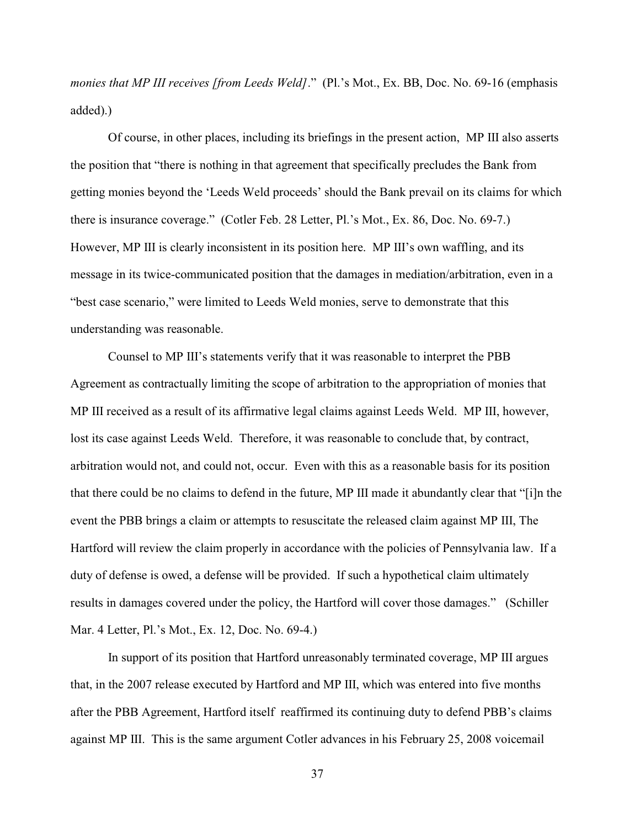*monies that MP III receives [from Leeds Weld]*." (Pl.'s Mot., Ex. BB, Doc. No. 69-16 (emphasis added).)

Of course, in other places, including its briefings in the present action, MP III also asserts the position that "there is nothing in that agreement that specifically precludes the Bank from getting monies beyond the 'Leeds Weld proceeds' should the Bank prevail on its claims for which there is insurance coverage." (Cotler Feb. 28 Letter, Pl.'s Mot., Ex. 86, Doc. No. 69-7.) However, MP III is clearly inconsistent in its position here. MP III's own waffling, and its message in its twice-communicated position that the damages in mediation/arbitration, even in a "best case scenario," were limited to Leeds Weld monies, serve to demonstrate that this understanding was reasonable.

Counsel to MP III's statements verify that it was reasonable to interpret the PBB Agreement as contractually limiting the scope of arbitration to the appropriation of monies that MP III received as a result of its affirmative legal claims against Leeds Weld. MP III, however, lost its case against Leeds Weld. Therefore, it was reasonable to conclude that, by contract, arbitration would not, and could not, occur. Even with this as a reasonable basis for its position that there could be no claims to defend in the future, MP III made it abundantly clear that "[i]n the event the PBB brings a claim or attempts to resuscitate the released claim against MP III, The Hartford will review the claim properly in accordance with the policies of Pennsylvania law. If a duty of defense is owed, a defense will be provided. If such a hypothetical claim ultimately results in damages covered under the policy, the Hartford will cover those damages." (Schiller Mar. 4 Letter, Pl.'s Mot., Ex. 12, Doc. No. 69-4.)

In support of its position that Hartford unreasonably terminated coverage, MP III argues that, in the 2007 release executed by Hartford and MP III, which was entered into five months after the PBB Agreement, Hartford itself reaffirmed its continuing duty to defend PBB's claims against MP III. This is the same argument Cotler advances in his February 25, 2008 voicemail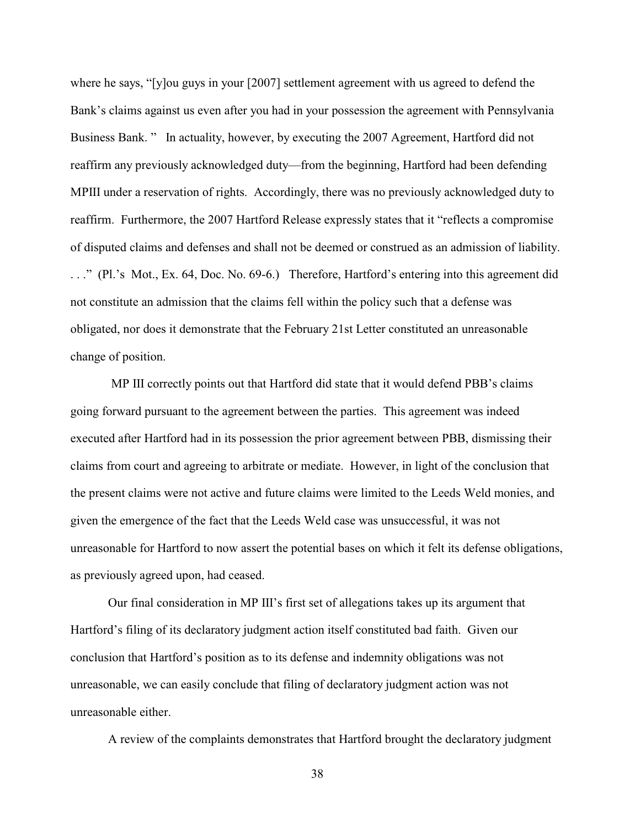where he says, "[y]ou guys in your [2007] settlement agreement with us agreed to defend the Bank's claims against us even after you had in your possession the agreement with Pennsylvania Business Bank. " In actuality, however, by executing the 2007 Agreement, Hartford did not reaffirm any previously acknowledged duty—from the beginning, Hartford had been defending MPIII under a reservation of rights. Accordingly, there was no previously acknowledged duty to reaffirm. Furthermore, the 2007 Hartford Release expressly states that it "reflects a compromise of disputed claims and defenses and shall not be deemed or construed as an admission of liability. . . ." (Pl.'s Mot., Ex. 64, Doc. No. 69-6.) Therefore, Hartford's entering into this agreement did not constitute an admission that the claims fell within the policy such that a defense was obligated, nor does it demonstrate that the February 21st Letter constituted an unreasonable change of position.

 MP III correctly points out that Hartford did state that it would defend PBB's claims going forward pursuant to the agreement between the parties. This agreement was indeed executed after Hartford had in its possession the prior agreement between PBB, dismissing their claims from court and agreeing to arbitrate or mediate. However, in light of the conclusion that the present claims were not active and future claims were limited to the Leeds Weld monies, and given the emergence of the fact that the Leeds Weld case was unsuccessful, it was not unreasonable for Hartford to now assert the potential bases on which it felt its defense obligations, as previously agreed upon, had ceased.

Our final consideration in MP III's first set of allegations takes up its argument that Hartford's filing of its declaratory judgment action itself constituted bad faith. Given our conclusion that Hartford's position as to its defense and indemnity obligations was not unreasonable, we can easily conclude that filing of declaratory judgment action was not unreasonable either.

A review of the complaints demonstrates that Hartford brought the declaratory judgment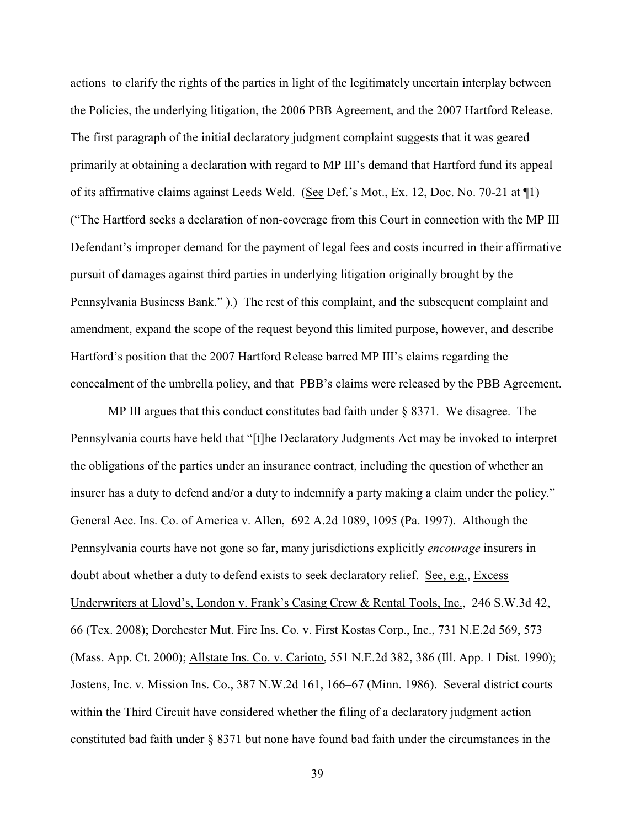actions to clarify the rights of the parties in light of the legitimately uncertain interplay between the Policies, the underlying litigation, the 2006 PBB Agreement, and the 2007 Hartford Release. The first paragraph of the initial declaratory judgment complaint suggests that it was geared primarily at obtaining a declaration with regard to MP III's demand that Hartford fund its appeal of its affirmative claims against Leeds Weld. (See Def.'s Mot., Ex. 12, Doc. No. 70-21 at ¶1) ("The Hartford seeks a declaration of non-coverage from this Court in connection with the MP III Defendant's improper demand for the payment of legal fees and costs incurred in their affirmative pursuit of damages against third parties in underlying litigation originally brought by the Pennsylvania Business Bank." ).) The rest of this complaint, and the subsequent complaint and amendment, expand the scope of the request beyond this limited purpose, however, and describe Hartford's position that the 2007 Hartford Release barred MP III's claims regarding the concealment of the umbrella policy, and that PBB's claims were released by the PBB Agreement.

MP III argues that this conduct constitutes bad faith under  $\S$  8371. We disagree. The Pennsylvania courts have held that "[t]he Declaratory Judgments Act may be invoked to interpret the obligations of the parties under an insurance contract, including the question of whether an insurer has a duty to defend and/or a duty to indemnify a party making a claim under the policy." General Acc. Ins. Co. of America v. Allen, 692 A.2d 1089, 1095 (Pa. 1997). Although the Pennsylvania courts have not gone so far, many jurisdictions explicitly *encourage* insurers in doubt about whether a duty to defend exists to seek declaratory relief. See, e.g., Excess Underwriters at Lloyd's, London v. Frank's Casing Crew & Rental Tools, Inc., 246 S.W.3d 42, 66 (Tex. 2008); Dorchester Mut. Fire Ins. Co. v. First Kostas Corp., Inc., 731 N.E.2d 569, 573 (Mass. App. Ct. 2000); Allstate Ins. Co. v. Carioto, 551 N.E.2d 382, 386 (Ill. App. 1 Dist. 1990); Jostens, Inc. v. Mission Ins. Co., 387 N.W.2d 161, 166–67 (Minn. 1986). Several district courts within the Third Circuit have considered whether the filing of a declaratory judgment action constituted bad faith under § 8371 but none have found bad faith under the circumstances in the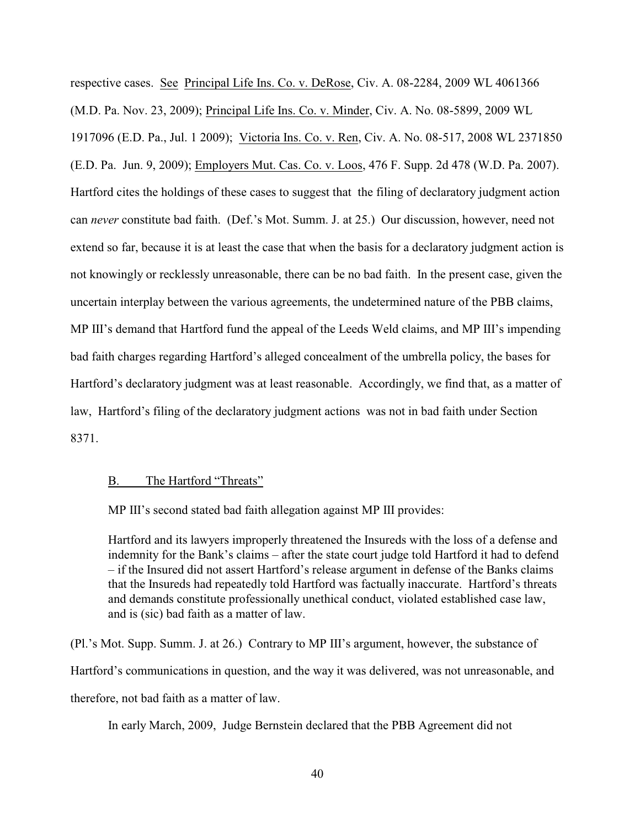respective cases. See Principal Life Ins. Co. v. DeRose, Civ. A. 08-2284, 2009 WL 4061366 (M.D. Pa. Nov. 23, 2009); Principal Life Ins. Co. v. Minder, Civ. A. No. 08-5899, 2009 WL 1917096 (E.D. Pa., Jul. 1 2009); Victoria Ins. Co. v. Ren, Civ. A. No. 08-517, 2008 WL 2371850 (E.D. Pa. Jun. 9, 2009); Employers Mut. Cas. Co. v. Loos, 476 F. Supp. 2d 478 (W.D. Pa. 2007). Hartford cites the holdings of these cases to suggest that the filing of declaratory judgment action can *never* constitute bad faith. (Def.'s Mot. Summ. J. at 25.) Our discussion, however, need not extend so far, because it is at least the case that when the basis for a declaratory judgment action is not knowingly or recklessly unreasonable, there can be no bad faith. In the present case, given the uncertain interplay between the various agreements, the undetermined nature of the PBB claims, MP III's demand that Hartford fund the appeal of the Leeds Weld claims, and MP III's impending bad faith charges regarding Hartford's alleged concealment of the umbrella policy, the bases for Hartford's declaratory judgment was at least reasonable. Accordingly, we find that, as a matter of law, Hartford's filing of the declaratory judgment actions was not in bad faith under Section 8371.

# B. The Hartford "Threats"

MP III's second stated bad faith allegation against MP III provides:

Hartford and its lawyers improperly threatened the Insureds with the loss of a defense and indemnity for the Bank's claims – after the state court judge told Hartford it had to defend – if the Insured did not assert Hartford's release argument in defense of the Banks claims that the Insureds had repeatedly told Hartford was factually inaccurate. Hartford's threats and demands constitute professionally unethical conduct, violated established case law, and is (sic) bad faith as a matter of law.

(Pl.'s Mot. Supp. Summ. J. at 26.) Contrary to MP III's argument, however, the substance of Hartford's communications in question, and the way it was delivered, was not unreasonable, and therefore, not bad faith as a matter of law.

In early March, 2009, Judge Bernstein declared that the PBB Agreement did not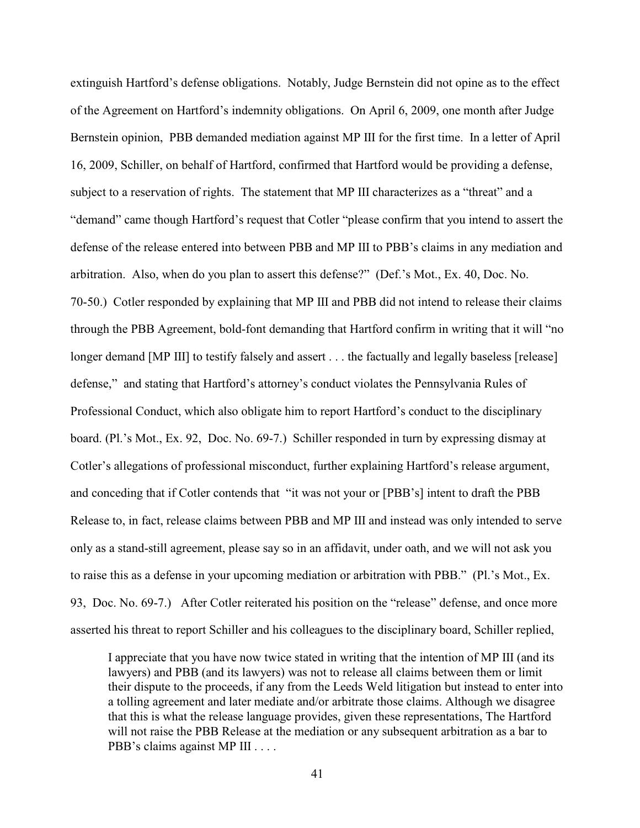extinguish Hartford's defense obligations. Notably, Judge Bernstein did not opine as to the effect of the Agreement on Hartford's indemnity obligations. On April 6, 2009, one month after Judge Bernstein opinion, PBB demanded mediation against MP III for the first time. In a letter of April 16, 2009, Schiller, on behalf of Hartford, confirmed that Hartford would be providing a defense, subject to a reservation of rights. The statement that MP III characterizes as a "threat" and a "demand" came though Hartford's request that Cotler "please confirm that you intend to assert the defense of the release entered into between PBB and MP III to PBB's claims in any mediation and arbitration. Also, when do you plan to assert this defense?" (Def.'s Mot., Ex. 40, Doc. No. 70-50.) Cotler responded by explaining that MP III and PBB did not intend to release their claims through the PBB Agreement, bold-font demanding that Hartford confirm in writing that it will "no longer demand [MP III] to testify falsely and assert . . . the factually and legally baseless [release] defense," and stating that Hartford's attorney's conduct violates the Pennsylvania Rules of Professional Conduct, which also obligate him to report Hartford's conduct to the disciplinary board. (Pl.'s Mot., Ex. 92, Doc. No. 69-7.) Schiller responded in turn by expressing dismay at Cotler's allegations of professional misconduct, further explaining Hartford's release argument, and conceding that if Cotler contends that "it was not your or [PBB's] intent to draft the PBB Release to, in fact, release claims between PBB and MP III and instead was only intended to serve only as a stand-still agreement, please say so in an affidavit, under oath, and we will not ask you to raise this as a defense in your upcoming mediation or arbitration with PBB." (Pl.'s Mot., Ex. 93, Doc. No. 69-7.) After Cotler reiterated his position on the "release" defense, and once more asserted his threat to report Schiller and his colleagues to the disciplinary board, Schiller replied,

I appreciate that you have now twice stated in writing that the intention of MP III (and its lawyers) and PBB (and its lawyers) was not to release all claims between them or limit their dispute to the proceeds, if any from the Leeds Weld litigation but instead to enter into a tolling agreement and later mediate and/or arbitrate those claims. Although we disagree that this is what the release language provides, given these representations, The Hartford will not raise the PBB Release at the mediation or any subsequent arbitration as a bar to PBB's claims against MP III . . . .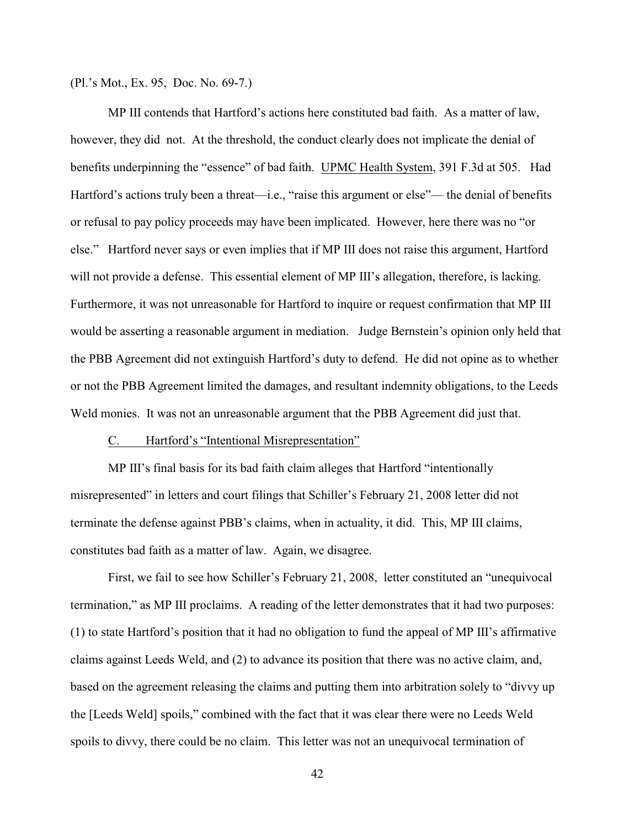(Pl.'s Mot., Ex. 95, Doc. No. 69-7.)

MP III contends that Hartford's actions here constituted bad faith. As a matter of law, however, they did not. At the threshold, the conduct clearly does not implicate the denial of benefits underpinning the "essence" of bad faith. UPMC Health System, 391 F.3d at 505. Had Hartford's actions truly been a threat—i.e., "raise this argument or else"— the denial of benefits or refusal to pay policy proceeds may have been implicated. However, here there was no "or else." Hartford never says or even implies that if MP III does not raise this argument, Hartford will not provide a defense. This essential element of MP III's allegation, therefore, is lacking. Furthermore, it was not unreasonable for Hartford to inquire or request confirmation that MP III would be asserting a reasonable argument in mediation. Judge Bernstein's opinion only held that the PBB Agreement did not extinguish Hartford's duty to defend. He did not opine as to whether or not the PBB Agreement limited the damages, and resultant indemnity obligations, to the Leeds Weld monies. It was not an unreasonable argument that the PBB Agreement did just that.

### C. Hartford's "Intentional Misrepresentation"

MP III's final basis for its bad faith claim alleges that Hartford "intentionally misrepresented" in letters and court filings that Schiller's February 21, 2008 letter did not terminate the defense against PBB's claims, when in actuality, it did. This, MP III claims, constitutes bad faith as a matter of law. Again, we disagree.

First, we fail to see how Schiller's February 21, 2008, letter constituted an "unequivocal termination," as MP III proclaims. A reading of the letter demonstrates that it had two purposes: (1) to state Hartford's position that it had no obligation to fund the appeal of MP III's affirmative claims against Leeds Weld, and (2) to advance its position that there was no active claim, and, based on the agreement releasing the claims and putting them into arbitration solely to "divvy up the [Leeds Weld] spoils," combined with the fact that it was clear there were no Leeds Weld spoils to divvy, there could be no claim. This letter was not an unequivocal termination of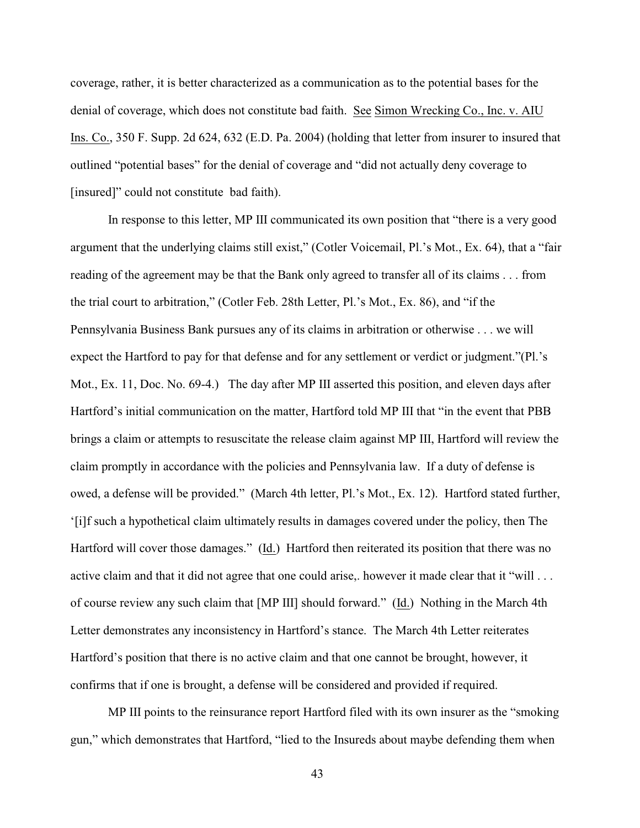coverage, rather, it is better characterized as a communication as to the potential bases for the denial of coverage, which does not constitute bad faith. See Simon Wrecking Co., Inc. v. AIU Ins. Co., 350 F. Supp. 2d 624, 632 (E.D. Pa. 2004) (holding that letter from insurer to insured that outlined "potential bases" for the denial of coverage and "did not actually deny coverage to [insured]" could not constitute bad faith).

In response to this letter, MP III communicated its own position that "there is a very good argument that the underlying claims still exist," (Cotler Voicemail, Pl.'s Mot., Ex. 64), that a "fair reading of the agreement may be that the Bank only agreed to transfer all of its claims . . . from the trial court to arbitration," (Cotler Feb. 28th Letter, Pl.'s Mot., Ex. 86), and "if the Pennsylvania Business Bank pursues any of its claims in arbitration or otherwise . . . we will expect the Hartford to pay for that defense and for any settlement or verdict or judgment."(Pl.'s Mot., Ex. 11, Doc. No. 69-4.) The day after MP III asserted this position, and eleven days after Hartford's initial communication on the matter, Hartford told MP III that "in the event that PBB brings a claim or attempts to resuscitate the release claim against MP III, Hartford will review the claim promptly in accordance with the policies and Pennsylvania law. If a duty of defense is owed, a defense will be provided." (March 4th letter, Pl.'s Mot., Ex. 12). Hartford stated further, '[i]f such a hypothetical claim ultimately results in damages covered under the policy, then The Hartford will cover those damages." (Id.) Hartford then reiterated its position that there was no active claim and that it did not agree that one could arise,. however it made clear that it "will ... of course review any such claim that [MP III] should forward." (Id.) Nothing in the March 4th Letter demonstrates any inconsistency in Hartford's stance. The March 4th Letter reiterates Hartford's position that there is no active claim and that one cannot be brought, however, it confirms that if one is brought, a defense will be considered and provided if required.

MP III points to the reinsurance report Hartford filed with its own insurer as the "smoking gun," which demonstrates that Hartford, "lied to the Insureds about maybe defending them when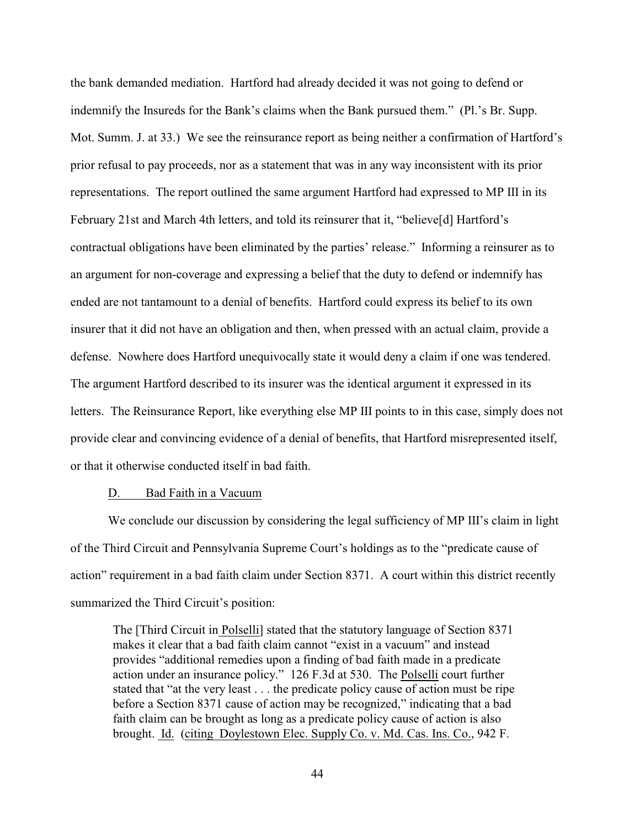the bank demanded mediation. Hartford had already decided it was not going to defend or indemnify the Insureds for the Bank's claims when the Bank pursued them." (Pl.'s Br. Supp. Mot. Summ. J. at 33.) We see the reinsurance report as being neither a confirmation of Hartford's prior refusal to pay proceeds, nor as a statement that was in any way inconsistent with its prior representations. The report outlined the same argument Hartford had expressed to MP III in its February 21st and March 4th letters, and told its reinsurer that it, "believe<sup>[d]</sup> Hartford's contractual obligations have been eliminated by the parties' release." Informing a reinsurer as to an argument for non-coverage and expressing a belief that the duty to defend or indemnify has ended are not tantamount to a denial of benefits. Hartford could express its belief to its own insurer that it did not have an obligation and then, when pressed with an actual claim, provide a defense. Nowhere does Hartford unequivocally state it would deny a claim if one was tendered. The argument Hartford described to its insurer was the identical argument it expressed in its letters. The Reinsurance Report, like everything else MP III points to in this case, simply does not provide clear and convincing evidence of a denial of benefits, that Hartford misrepresented itself, or that it otherwise conducted itself in bad faith.

#### D. Bad Faith in a Vacuum

We conclude our discussion by considering the legal sufficiency of MP III's claim in light of the Third Circuit and Pennsylvania Supreme Court's holdings as to the "predicate cause of action" requirement in a bad faith claim under Section 8371. A court within this district recently summarized the Third Circuit's position:

The [Third Circuit in Polselli] stated that the statutory language of Section 8371 makes it clear that a bad faith claim cannot "exist in a vacuum" and instead provides "additional remedies upon a finding of bad faith made in a predicate action under an insurance policy." 126 F.3d at 530. The Polselli court further stated that "at the very least . . . the predicate policy cause of action must be ripe before a Section 8371 cause of action may be recognized," indicating that a bad faith claim can be brought as long as a predicate policy cause of action is also brought. Id. (citing Doylestown Elec. Supply Co. v. Md. Cas. Ins. Co., 942 F.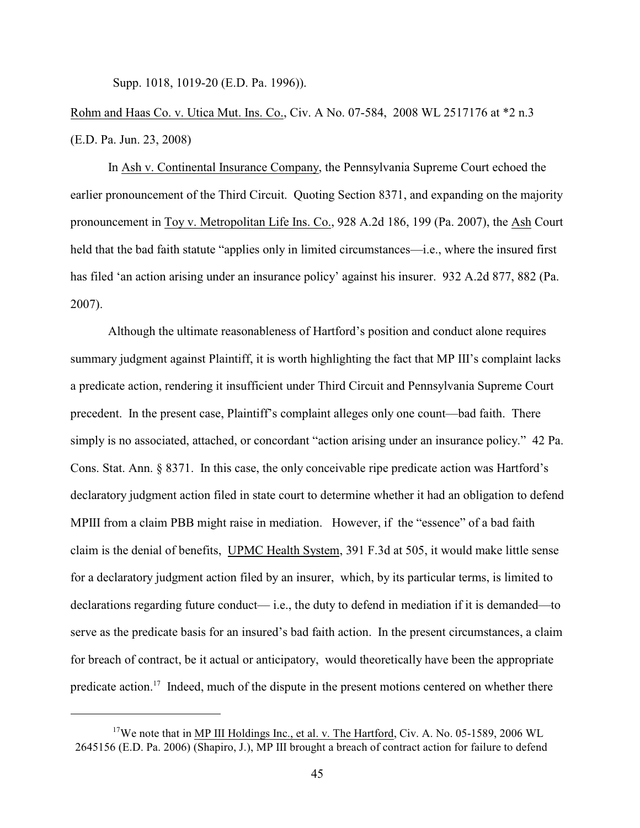Supp. 1018, 1019-20 (E.D. Pa. 1996)).

Rohm and Haas Co. v. Utica Mut. Ins. Co., Civ. A No. 07-584, 2008 WL 2517176 at \*2 n.3 (E.D. Pa. Jun. 23, 2008)

In Ash v. Continental Insurance Company, the Pennsylvania Supreme Court echoed the earlier pronouncement of the Third Circuit. Quoting Section 8371, and expanding on the majority pronouncement in Toy v. Metropolitan Life Ins. Co., 928 A.2d 186, 199 (Pa. 2007), the Ash Court held that the bad faith statute "applies only in limited circumstances—i.e., where the insured first has filed 'an action arising under an insurance policy' against his insurer. 932 A.2d 877, 882 (Pa. 2007).

Although the ultimate reasonableness of Hartford's position and conduct alone requires summary judgment against Plaintiff, it is worth highlighting the fact that MP III's complaint lacks a predicate action, rendering it insufficient under Third Circuit and Pennsylvania Supreme Court precedent. In the present case, Plaintiff's complaint alleges only one count—bad faith. There simply is no associated, attached, or concordant "action arising under an insurance policy." 42 Pa. Cons. Stat. Ann. § 8371. In this case, the only conceivable ripe predicate action was Hartford's declaratory judgment action filed in state court to determine whether it had an obligation to defend MPIII from a claim PBB might raise in mediation. However, if the "essence" of a bad faith claim is the denial of benefits, UPMC Health System, 391 F.3d at 505, it would make little sense for a declaratory judgment action filed by an insurer, which, by its particular terms, is limited to declarations regarding future conduct— i.e., the duty to defend in mediation if it is demanded—to serve as the predicate basis for an insured's bad faith action. In the present circumstances, a claim for breach of contract, be it actual or anticipatory, would theoretically have been the appropriate predicate action.<sup>17</sup> Indeed, much of the dispute in the present motions centered on whether there

 $17$ We note that in MP III Holdings Inc., et al. v. The Hartford, Civ. A. No. 05-1589, 2006 WL 2645156 (E.D. Pa. 2006) (Shapiro, J.), MP III brought a breach of contract action for failure to defend